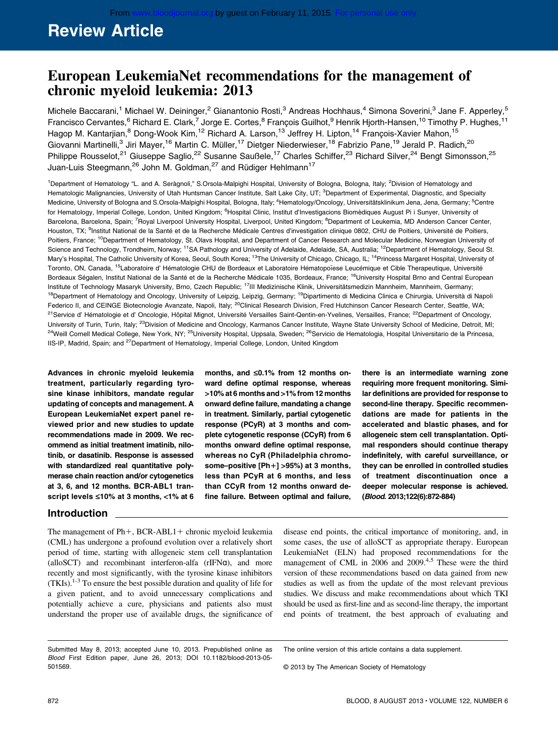# Review Article

## European LeukemiaNet recommendations for the management of chronic myeloid leukemia: 2013

Michele Baccarani,<sup>1</sup> Michael W. Deininger,<sup>2</sup> Gianantonio Rosti,<sup>3</sup> Andreas Hochhaus,<sup>4</sup> Simona Soverini,<sup>3</sup> Jane F. Apperley,<sup>5</sup> Francisco Cervantes,<sup>6</sup> Richard E. Clark,<sup>7</sup> Jorge E. Cortes,<sup>8</sup> François Guilhot,<sup>9</sup> Henrik Hjorth-Hansen,<sup>10</sup> Timothy P. Hughes,<sup>11</sup> Hagop M. Kantarjian,<sup>8</sup> Dong-Wook Kim,<sup>12</sup> Richard A. Larson,<sup>13</sup> Jeffrey H. Lipton,<sup>14</sup> François-Xavier Mahon,<sup>15</sup> Giovanni Martinelli,<sup>3</sup> Jiri Mayer,<sup>16</sup> Martin C. Müller,<sup>17</sup> Dietger Niederwieser,<sup>18</sup> Fabrizio Pane,<sup>19</sup> Jerald P. Radich,<sup>20</sup> Philippe Rousselot,<sup>21</sup> Giuseppe Saglio,<sup>22</sup> Susanne Saußele,<sup>17</sup> Charles Schiffer,<sup>23</sup> Richard Silver,<sup>24</sup> Bengt Simonsson,<sup>25</sup> Juan-Luis Steegmann,<sup>26</sup> John M. Goldman,<sup>27</sup> and Rüdiger Hehlmann<sup>17</sup>

<sup>1</sup>Department of Hematology "L. and A. Seràgnoli," S.Orsola-Malpighi Hospital, University of Bologna, Bologna, Italy; <sup>2</sup>Division of Hematology and Hematologic Malignancies, University of Utah Huntsman Cancer Institute, Salt Lake City, UT; <sup>3</sup>Department of Experimental, Diagnostic, and Specialty Medicine, University of Bologna and S.Orsola-Malpighi Hospital, Bologna, Italy; <sup>4</sup>Hematology/Oncology, Universitätsklinikum Jena, Jena, Germany; <sup>5</sup>Centre for Hematology, Imperial College, London, United Kingdom; <sup>6</sup>Hospital Clinic, Institut d'Investigacions Biomèdiques August Pi i Sunyer, University of Barcelona, Barcelona, Spain; <sup>7</sup>Royal Liverpool University Hospital, Liverpool, United Kingdom; <sup>8</sup>Department of Leukemia, MD Anderson Cancer Center, Houston, TX; <sup>9</sup>Institut National de la Santé et de la Recherche Médicale Centres d'investigation clinique 0802, CHU de Poitiers, Université de Poitiers, Poitiers, France; <sup>10</sup>Department of Hematology, St. Olavs Hospital, and Department of Cancer Research and Molecular Medicine, Norwegian University of Science and Technology, Trondheim, Norway; <sup>11</sup>SA Pathology and University of Adelaide, Adelaide, SA, Australia; <sup>12</sup>Department of Hematology, Seoul St. Mary's Hospital, The Catholic University of Korea, Seoul, South Korea; <sup>13</sup>The University of Chicago, Chicago, IL; <sup>14</sup>Princess Margaret Hospital, University of Toronto, ON, Canada, <sup>15</sup>Laboratoire d' Hématologie CHU de Bordeaux et Laboratoire Hématopoïese Leucémique et Cible Therapeutique, Université Bordeaux Ségalen, Institut National de la Santé et de la Recherche Médicale 1035, Bordeaux, France; <sup>16</sup>University Hospital Brno and Central European Institute of Technology Masaryk University, Brno, Czech Republic; <sup>17</sup>III Medizinische Klinik, Universitätsmedizin Mannheim, Mannheim, Germany; <sup>18</sup>Department of Hematology and Oncology, University of Leipzig, Leipzig, Germany; <sup>19</sup>Dipartimento di Medicina Clinica e Chirurgia, Università di Napoli Federico II, and CEINGE Biotecnologie Avanzate, Napoli, Italy; <sup>20</sup>Clinical Research Division, Fred Hutchinson Cancer Research Center, Seattle, WA; <sup>21</sup>Service d' Hématologie et d' Oncologie, Hôpital Mignot, Université Versailles Saint-Qentin-en-Yvelines, Versailles, France; <sup>22</sup>Department of Oncology, University of Turin, Turin, Italy; <sup>23</sup>Division of Medicine and Oncology, Karmanos Cancer Institute, Wayne State University School of Medicine, Detroit, MI; <sup>24</sup>Weill Cornell Medical College, New York, NY; <sup>25</sup>University Hospital, Uppsala, Sweden; <sup>26</sup>Servicio de Hematologia, Hospital Universitario de la Princesa, IIS-IP, Madrid, Spain; and <sup>27</sup>Department of Hematology, Imperial College, London, United Kingdom

Advances in chronic myeloid leukemia treatment, particularly regarding tyrosine kinase inhibitors, mandate regular updating of concepts and management. A European LeukemiaNet expert panel reviewed prior and new studies to update recommendations made in 2009. We recommend as initial treatment imatinib, nilotinib, or dasatinib. Response is assessed with standardized real quantitative polymerase chain reaction and/or cytogenetics at 3, 6, and 12 months. BCR-ABL1 transcript levels ≤10% at 3 months, <1% at 6

## Introduction

The management of  $Ph+$ , BCR-ABL1+ chronic myeloid leukemia (CML) has undergone a profound evolution over a relatively short period of time, starting with allogeneic stem cell transplantation (alloSCT) and recombinant interferon-alfa (rIFNɑ), and more recently and most significantly, with the tyrosine kinase inhibitors  $(TKIs).<sup>1-3</sup>$  To ensure the best possible duration and quality of life for a given patient, and to avoid unnecessary complications and potentially achieve a cure, physicians and patients also must understand the proper use of available drugs, the significance of

months, and  $\leq 0.1\%$  from 12 months onward define optimal response, whereas >10% at 6 months and >1% from 12 months onward define failure, mandating a change in treatment. Similarly, partial cytogenetic response (PCyR) at 3 months and complete cytogenetic response (CCyR) from 6 months onward define optimal response, whereas no CyR (Philadelphia chromosome-positive [Ph+] >95%) at 3 months, less than PCyR at 6 months, and less than CCyR from 12 months onward define failure. Between optimal and failure,

there is an intermediate warning zone requiring more frequent monitoring. Similar definitions are provided for response to second-line therapy. Specific recommendations are made for patients in the accelerated and blastic phases, and for allogeneic stem cell transplantation. Optimal responders should continue therapy indefinitely, with careful surveillance, or they can be enrolled in controlled studies of treatment discontinuation once a deeper molecular response is achieved. (Blood. 2013;122(6):872-884)

disease end points, the critical importance of monitoring, and, in some cases, the use of alloSCT as appropriate therapy. European LeukemiaNet (ELN) had proposed recommendations for the management of CML in 2006 and 2009.<sup>4,5</sup> These were the third version of these recommendations based on data gained from new studies as well as from the update of the most relevant previous studies. We discuss and make recommendations about which TKI should be used as first-line and as second-line therapy, the important end points of treatment, the best approach of evaluating and

© 2013 by The American Society of Hematology

Submitted May 8, 2013; accepted June 10, 2013. Prepublished online as Blood First Edition paper, June 26, 2013; DOI 10.1182/blood-2013-05- 501569.

The online version of this article contains a data supplement.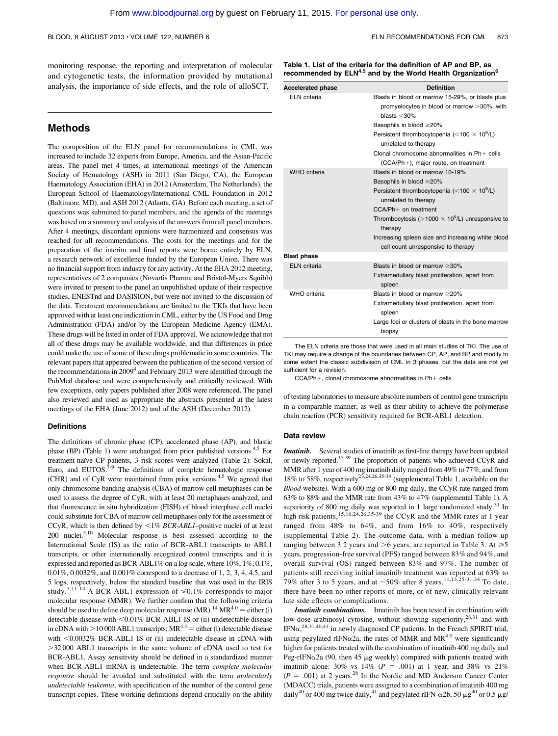monitoring response, the reporting and interpretation of molecular and cytogenetic tests, the information provided by mutational analysis, the importance of side effects, and the role of alloSCT.

## Methods

The composition of the ELN panel for recommendations in CML was increased to include 32 experts from Europe, America, and the Asian-Pacific areas. The panel met 4 times, at international meetings of the American Society of Hematology (ASH) in 2011 (San Diego, CA), the European Haematology Association (EHA) in 2012 (Amsterdam, The Netherlands), the European School of Haematology/International CML Foundation in 2012 (Baltimore, MD), and ASH 2012 (Atlanta, GA). Before each meeting, a set of questions was submitted to panel members, and the agenda of the meetings was based on a summary and analysis of the answers from all panel members. After 4 meetings, discordant opinions were harmonized and consensus was reached for all recommendations. The costs for the meetings and for the preparation of the interim and final reports were borne entirely by ELN, a research network of excellence funded by the European Union. There was no financial support from industry for any activity. At the EHA 2012 meeting, representatives of 2 companies (Novartis Pharma and Bristol-Myers Squibb) were invited to present to the panel an unpublished update of their respective studies, ENESTnd and DASISION, but were not invited to the discussion of the data. Treatment recommendations are limited to the TKIs that have been approved with at least one indication in CML, either by the US Food and Drug Administration (FDA) and/or by the European Medicine Agency (EMA). These drugs will be listed in order of FDA approval. We acknowledge that not all of these drugs may be available worldwide, and that differences in price could make the use of some of these drugs problematic in some countries. The relevant papers that appeared between the publication of the second version of the recommendations in  $2009<sup>4</sup>$  and February 2013 were identified through the PubMed database and were comprehensively and critically reviewed. With few exceptions, only papers published after 2008 were referenced. The panel also reviewed and used as appropriate the abstracts presented at the latest meetings of the EHA (June 2012) and of the ASH (December 2012).

### **Definitions**

The definitions of chronic phase (CP), accelerated phase (AP), and blastic phase (BP) (Table 1) were unchanged from prior published versions.<sup>4,5</sup> For treatment-naïve CP patients, 3 risk scores were analyzed (Table 2): Sokal, Euro, and EUTOS.<sup>7-9</sup> The definitions of complete hematologic response (CHR) and of CyR were maintained from prior versions.4,5 We agreed that only chromosome banding analysis (CBA) of marrow cell metaphases can be used to assess the degree of CyR, with at least 20 metaphases analyzed, and that fluorescence in situ hybridization (FISH) of blood interphase cell nuclei could substitute for CBA of marrow cell metaphases only for the assessment of CCyR, which is then defined by  $\leq$ 1% BCR-ABL1–positive nuclei of at least 200 nuclei.5,10 Molecular response is best assessed according to the International Scale (IS) as the ratio of BCR-ABL1 transcripts to ABL1 transcripts, or other internationally recognized control transcripts, and it is expressed and reported as BCR-ABL1% on a log scale, where 10%, 1%, 0.1%, 0.01%, 0.0032%, and 0.001% correspond to a decrease of 1, 2, 3, 4, 4.5, and 5 logs, respectively, below the standard baseline that was used in the IRIS study.<sup>5,11-14</sup> A BCR-ABL1 expression of  $\leq 0.1\%$  corresponds to major molecular response (MMR). We further confirm that the following criteria should be used to define deep molecular response (MR).<sup>14</sup> MR<sup>4.0</sup> = either (i) detectable disease with  $\leq 0.01\%$  BCR-ABL1 IS or (ii) undetectable disease in cDNA with  $>$ 10 000 ABL1 transcripts; MR<sup>4.5</sup> = either (i) detectable disease with  $< 0.0032\%$  BCR-ABL1 IS or (ii) undetectable disease in cDNA with .32 000 ABL1 transcripts in the same volume of cDNA used to test for BCR-ABL1. Assay sensitivity should be defined in a standardized manner when BCR-ABL1 mRNA is undetectable. The term complete molecular response should be avoided and substituted with the term molecularly undetectable leukemia, with specification of the number of the control gene transcript copies. These working definitions depend critically on the ability

Table 1. List of the criteria for the definition of AP and BP, as recommended by ELN<sup>4,5</sup> and by the World Health Organization<sup>6</sup>

| <b>Accelerated phase</b>           | <b>Definition</b>                                                                                                                                                                                                                                                                                                                                               |
|------------------------------------|-----------------------------------------------------------------------------------------------------------------------------------------------------------------------------------------------------------------------------------------------------------------------------------------------------------------------------------------------------------------|
| ELN criteria                       | Blasts in blood or marrow 15-29%, or blasts plus<br>promyelocytes in blood or marrow >30%, with<br>blasts $<$ 30%<br>Basophils in blood ≥20%<br>Persistent thrombocytopenia ( $\lt 100 \times 10^9$ /L)<br>unrelated to therapy                                                                                                                                 |
|                                    | Clonal chromosome abnormalities in Ph+ cells<br>(CCA/Ph+), major route, on treatment                                                                                                                                                                                                                                                                            |
| WHO criteria<br><b>Blast phase</b> | Blasts in blood or marrow 10-19%<br>Basophils in blood ≥20%<br>Persistent thrombocytopenia ( $<$ 100 $\times$ 10 <sup>9</sup> /L)<br>unrelated to therapy<br>$CCA/Ph+$ on treatment<br>Thrombocytosis (>1000 $\times$ 10 <sup>9</sup> /L) unresponsive to<br>therapy<br>Increasing spleen size and increasing white blood<br>cell count unresponsive to therapy |
| <b>ELN</b> criteria                | Blasts in blood or marrow $\geq 30\%$<br>Extramedullary blast proliferation, apart from<br>spleen                                                                                                                                                                                                                                                               |
| WHO criteria                       | Blasts in blood or marrow $\geq$ 20%<br>Extramedullary blast proliferation, apart from<br>spleen<br>Large foci or clusters of blasts in the bone marrow<br>biopsy                                                                                                                                                                                               |

The ELN criteria are those that were used in all main studies of TKI. The use of TKI may require a change of the boundaries between CP, AP, and BP and modify to some extent the classic subdivision of CML in 3 phases, but the data are not yet sufficient for a revision.

 $CCA/Ph+$ , clonal chromosome abnormalities in Ph $+$  cells.

of testing laboratories to measure absolute numbers of control gene transcripts in a comparable manner, as well as their ability to achieve the polymerase chain reaction (PCR) sensitivity required for BCR-ABL1 detection.

#### Data review

Imatinib. Several studies of imatinib as first-line therapy have been updated or newly reported.<sup>15-39</sup> The proportion of patients who achieved CCyR and MMR after 1 year of 400 mg imatinib daily ranged from 49% to 77%, and from 18% to 58%, respectively<sup>23,24,26,35-39</sup> (supplemental Table 1, available on the Blood website). With a 600 mg or 800 mg daily, the CCyR rate ranged from 63% to 88% and the MMR rate from 43% to 47% (supplemental Table 1). A superiority of 800 mg daily was reported in 1 large randomized study.<sup>31</sup> In high-risk patients,<sup>15,16,24,26,35-39</sup> the CCyR and the MMR rates at 1 year ranged from 48% to 64%, and from 16% to 40%, respectively (supplemental Table 2). The outcome data, with a median follow-up ranging between 3.2 years and  $>6$  years, are reported in Table 3. At  $\geq 5$ years, progression-free survival (PFS) ranged between 83% and 94%, and overall survival (OS) ranged between 83% and 97%. The number of patients still receiving initial imatinib treatment was reported at 63% to 79% after 3 to 5 years, and at  $~50\%$  after 8 years.<sup>11,13,25-31,34</sup> To date. there have been no other reports of more, or of new, clinically relevant late side effects or complications.

Imatinib combinations. Imatinib has been tested in combination with low-dose arabinosyl cytosine, without showing superiority, $28,31$  and with  $IFN\alpha$ ,  $^{28,31,40,41}$  in newly diagnosed CP patients. In the French SPIRIT trial, using pegylated rIFN $\alpha$ 2a, the rates of MMR and MR<sup>4.0</sup> were significantly higher for patients treated with the combination of imatinib 400 mg daily and Peg-rIFN $\alpha$ 2a (90, then 45 µg weekly) compared with patients treated with imatinib alone: 30% vs  $14\%$  ( $P = .001$ ) at 1 year, and 38% vs  $21\%$  $(P = .001)$  at 2 years.<sup>28</sup> In the Nordic and MD Anderson Cancer Center (MDACC) trials, patients were assigned to a combination of imatinib 400 mg daily<sup>40</sup> or 400 mg twice daily,<sup>41</sup> and pegylated rIFN- $\alpha$ 2b, 50  $\mu$ g<sup>40</sup> or 0.5  $\mu$ g/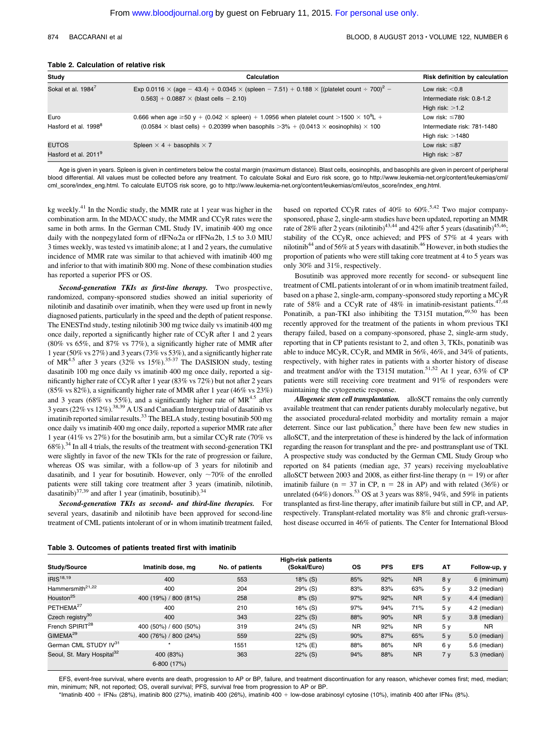## Table 2. Calculation of relative risk

| Study                                            | Calculation                                                                                                                                                                                                                     | Risk definition by calculation                                            |
|--------------------------------------------------|---------------------------------------------------------------------------------------------------------------------------------------------------------------------------------------------------------------------------------|---------------------------------------------------------------------------|
| Sokal et al. 1984 <sup>7</sup>                   | Exp 0.0116 $\times$ (age - 43.4) + 0.0345 $\times$ (spleen - 7.51) + 0.188 $\times$ [(platelet count ÷ 700) <sup>2</sup> -<br>$0.563$ + 0.0887 $\times$ (blast cells - 2.10)                                                    | Low risk: $< 0.8$<br>Intermediate risk: 0.8-1.2<br>High risk: $>1.2$      |
| Euro<br>Hasford et al. 1998 <sup>8</sup>         | 0.666 when age $\geq$ 50 y + (0.042 $\times$ spleen) + 1.0956 when platelet count >1500 $\times$ 10 <sup>9</sup> L +<br>$(0.0584 \times$ blast cells) + 0.20399 when basophils >3% + (0.0413 $\times$ eosinophils) $\times$ 100 | Low risk: $\leq 780$<br>Intermediate risk: 781-1480<br>High risk: $>1480$ |
| <b>EUTOS</b><br>Hasford et al. 2011 <sup>9</sup> | Spleen $\times$ 4 + basophils $\times$ 7                                                                                                                                                                                        | Low risk: $\leq$ 87<br>High risk: $>87$                                   |

Age is given in years. Spleen is given in centimeters below the costal margin (maximum distance). Blast cells, eosinophils, and basophils are given in percent of peripheral blood differential. All values must be collected before any treatment. To calculate Sokal and Euro risk score, go to [http://www.leukemia-net.org/content/leukemias/cml/](http://www.leukemia-net.org/content/leukemias/cml/cml_score/index_eng.html) [cml\\_score/index\\_eng.html.](http://www.leukemia-net.org/content/leukemias/cml/cml_score/index_eng.html) To calculate EUTOS risk score, go to [http://www.leukemia-net.org/content/leukemias/cml/eutos\\_score/index\\_eng.html.](http://www.leukemia-net.org/content/leukemias/cml/eutos_score/index_eng.html)

kg weekly.<sup>41</sup> In the Nordic study, the MMR rate at 1 year was higher in the combination arm. In the MDACC study, the MMR and CCyR rates were the same in both arms. In the German CML Study IV, imatinib 400 mg once daily with the nonpegylated form of rIFN $\alpha$ 2a or rIFN $\alpha$ 2b, 1.5 to 3.0 MIU 3 times weekly, was tested vs imatinib alone; at 1 and 2 years, the cumulative incidence of MMR rate was similar to that achieved with imatinib 400 mg and inferior to that with imatinib 800 mg. None of these combination studies has reported a superior PFS or OS.

Second-generation TKIs as first-line therapy. Two prospective, randomized, company-sponsored studies showed an initial superiority of nilotinib and dasatinib over imatinib, when they were used up front in newly diagnosed patients, particularly in the speed and the depth of patient response. The ENESTnd study, testing nilotinib 300 mg twice daily vs imatinib 400 mg once daily, reported a significantly higher rate of CCyR after 1 and 2 years (80% vs 65%, and 87% vs 77%), a significantly higher rate of MMR after 1 year (50% vs 27%) and 3 years (73% vs 53%), and a significantly higher rate of  $MR^{4.5}$  after 3 years (32% vs 15%).<sup>35-37</sup> The DASISION study, testing dasatinib 100 mg once daily vs imatinib 400 mg once daily, reported a significantly higher rate of CCyR after 1 year (83% vs 72%) but not after 2 years (85% vs 82%), a significantly higher rate of MMR after 1 year (46% vs 23%) and 3 years (68% vs 55%), and a significantly higher rate of  $MR<sup>4.5</sup>$  after  $3$  years (22% vs  $12\%$ ).<sup>38,39</sup> A US and Canadian Intergroup trial of dasatinib vs imatinib reported similar results.<sup>33</sup> The BELA study, testing bosutinib 500 mg once daily vs imatinib 400 mg once daily, reported a superior MMR rate after 1 year (41% vs 27%) for the bosutinib arm, but a similar CCyR rate (70% vs  $68\%$ ).<sup>34</sup> In all 4 trials, the results of the treatment with second-generation TKI were slightly in favor of the new TKIs for the rate of progression or failure, whereas OS was similar, with a follow-up of 3 years for nilotinib and dasatinib, and 1 year for bosutinib. However, only  $\sim$ 70% of the enrolled patients were still taking core treatment after 3 years (imatinib, nilotinib, dasatinib) $37,39$  and after 1 year (imatinib, bosutinib).<sup>34</sup>

Second-generation TKIs as second- and third-line therapies. For several years, dasatinib and nilotinib have been approved for second-line treatment of CML patients intolerant of or in whom imatinib treatment failed, based on reported CCyR rates of 40% to  $60\%$ .<sup>5,42</sup> Two major companysponsored, phase 2, single-arm studies have been updated, reporting an MMR rate of 28% after 2 years (nilotinib)<sup>43,44</sup> and 42% after 5 years (dasatinib)<sup>45,46</sup>; stability of the CCyR, once achieved; and PFS of 57% at 4 years with nilotinib<sup>44</sup> and of 56% at 5 years with dasatinib.<sup>46</sup> However, in both studies the proportion of patients who were still taking core treatment at 4 to 5 years was only 30% and 31%, respectively.

Bosutinib was approved more recently for second- or subsequent line treatment of CML patients intolerant of or in whom imatinib treatment failed, based on a phase 2, single-arm, company-sponsored study reporting a MCyR rate of 58% and a CCyR rate of 48% in imatinib-resistant patients.<sup>47,48</sup> Ponatinib, a pan-TKI also inhibiting the T315I mutation,<sup>49,50</sup> has been recently approved for the treatment of the patients in whom previous TKI therapy failed, based on a company-sponsored, phase 2, single-arm study, reporting that in CP patients resistant to 2, and often 3, TKIs, ponatinib was able to induce MCyR, CCyR, and MMR in 56%, 46%, and 34% of patients, respectively, with higher rates in patients with a shorter history of disease and treatment and/or with the T315I mutation.<sup>51,52</sup> At 1 year, 63% of CP patients were still receiving core treatment and 91% of responders were maintaining the cytogenetic response.

Allogeneic stem cell transplantation. alloSCT remains the only currently available treatment that can render patients durably molecularly negative, but the associated procedural-related morbidity and mortality remain a major deterrent. Since our last publication, $5$  there have been few new studies in alloSCT, and the interpretation of these is hindered by the lack of information regarding the reason for transplant and the pre- and posttransplant use of TKI. A prospective study was conducted by the German CML Study Group who reported on 84 patients (median age, 37 years) receiving myeloablative alloSCT between 2003 and 2008, as either first-line therapy ( $n = 19$ ) or after imatinib failure (n = 37 in CP, n = 28 in AP) and with related (36%) or unrelated (64%) donors.<sup>53</sup> OS at 3 years was 88%, 94%, and 59% in patients transplanted as first-line therapy, after imatinib failure but still in CP, and AP, respectively. Transplant-related mortality was 8% and chronic graft-versushost disease occurred in 46% of patients. The Center for International Blood

| Study/Source                           | Imatinib dose, mq     | No. of patients | <b>High-risk patients</b><br>(Sokal/Euro) | os        | <b>PFS</b> | <b>EFS</b> | AT             | Follow-up, y |
|----------------------------------------|-----------------------|-----------------|-------------------------------------------|-----------|------------|------------|----------------|--------------|
| IRIS <sup>18,19</sup>                  | 400                   | 553             | $18%$ (S)                                 | 85%       | 92%        | <b>NR</b>  | 8 y            | 6 (minimum)  |
| Hammersmith <sup>21,22</sup>           | 400                   | 204             | 29% (S)                                   | 83%       | 83%        | 63%        | 5 y            | 3.2 (median) |
| Houston <sup>25</sup>                  | 400 (19%) / 800 (81%) | 258             | $8\%$ (S)                                 | 97%       | 92%        | <b>NR</b>  | 5y             | 4.4 (median) |
| PETHEMA <sup>27</sup>                  | 400                   | 210             | $16\%$ (S)                                | 97%       | 94%        | 71%        | 5y             | 4.2 (median) |
| Czech registry <sup>30</sup>           | 400                   | 343             | $22\%$ (S)                                | 88%       | 90%        | <b>NR</b>  | 5y             | 3.8 (median) |
| French SPIRIT <sup>28</sup>            | 400 (50%) / 600 (50%) | 319             | 24% (S)                                   | <b>NR</b> | 92%        | <b>NR</b>  | 5y             | <b>NR</b>    |
| GIMEMA <sup>29</sup>                   | 400 (76%) / 800 (24%) | 559             | $22\%$ (S)                                | 90%       | 87%        | 65%        | 5y             | 5.0 (median) |
| German CML STUDY IV <sup>31</sup>      | $\star$               | 1551            | 12% (E)                                   | 88%       | 86%        | <b>NR</b>  | 6 y            | 5.6 (median) |
| Seoul, St. Mary Hospital <sup>32</sup> | 400 (83%)             | 363             | $22\%$ (S)                                | 94%       | 88%        | <b>NR</b>  | 7 <sub>v</sub> | 5.3 (median) |
|                                        | 6-800 (17%)           |                 |                                           |           |            |            |                |              |

EFS, event-free survival, where events are death, progression to AP or BP, failure, and treatment discontinuation for any reason, whichever comes first; med, median; min, minimum; NR, not reported; OS, overall survival; PFS, survival free from progression to AP or BP

\*Imatinib 400 + IFN $\alpha$  (28%), imatinib 800 (27%), imatinib 400 (26%), imatinib 400 + low-dose arabinosyl cytosine (10%), imatinib 400 after IFN $\alpha$  (8%).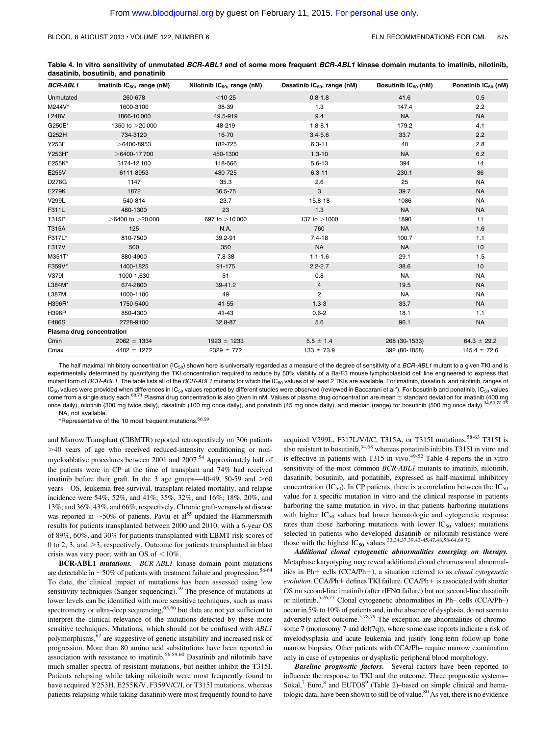| Table 4. In vitro sensitivity of unmutated <i>BCR-ABL1</i> and of some more frequent <i>BCR-ABL1</i> kinase domain mutants to imatinib, nilotinib, |  |  |  |  |  |  |
|----------------------------------------------------------------------------------------------------------------------------------------------------|--|--|--|--|--|--|
| dasatinib, bosutinib, and ponatinib                                                                                                                |  |  |  |  |  |  |

| <b>BCR-ABL1</b>           | Imatinib $IC_{50}$ , range (nM) | Nilotinib IC <sub>50</sub> , range (nM) | Dasatinib IC <sub>50</sub> , range (nM) | Bosutinib IC <sub>50</sub> (nM) | Ponatinib IC <sub>50</sub> (nM) |
|---------------------------|---------------------------------|-----------------------------------------|-----------------------------------------|---------------------------------|---------------------------------|
| Unmutated                 | 260-678                         | $<$ 10-25                               | $0.8 - 1.8$                             | 41.6                            | 0.5                             |
| M244V*                    | 1600-3100                       | 38-39                                   | 1.3                                     | 147.4                           | 2.2                             |
| <b>L248V</b>              | 1866-10000                      | 49.5-919                                | 9.4                                     | <b>NA</b>                       | <b>NA</b>                       |
| G250E*                    | 1350 to >20 000                 | 48-219                                  | $1.8 - 8.1$                             | 179.2                           | 4.1                             |
| Q252H                     | 734-3120                        | 16-70                                   | $3.4 - 5.6$                             | 33.7                            | 2.2                             |
| Y253F                     | $>6400 - 8953$                  | 182-725                                 | $6.3 - 11$                              | 40                              | 2.8                             |
| Y253H*                    | $>6400-17700$                   | 450-1300                                | $1.3 - 10$                              | <b>NA</b>                       | 6.2                             |
| E255K*                    | 3174-12 100                     | 118-566                                 | $5.6 - 13$                              | 394                             | 14                              |
| E255V                     | 6111-8953                       | 430-725                                 | $6.3 - 11$                              | 230.1                           | 36                              |
| D276G                     | 1147                            | 35.3                                    | 2.6                                     | 25                              | <b>NA</b>                       |
| E279K                     | 1872                            | 36.5-75                                 | 3                                       | 39.7                            | <b>NA</b>                       |
| V299L                     | 540-814                         | 23.7                                    | 15.8-18                                 | 1086                            | <b>NA</b>                       |
| F311L                     | 480-1300                        | 23                                      | 1.3                                     | <b>NA</b>                       | <b>NA</b>                       |
| T315I*                    | $>6400$ to $>20000$             | 697 to >10 000                          | 137 to >1000                            | 1890                            | 11                              |
| T315A                     | 125                             | N.A.                                    | 760                                     | <b>NA</b>                       | 1.6                             |
| F317L*                    | 810-7500                        | 39.2-91                                 | $7.4 - 18$                              | 100.7                           | 1.1                             |
| F317V                     | 500                             | 350                                     | <b>NA</b>                               | <b>NA</b>                       | 10                              |
| M351T*                    | 880-4900                        | 7.8-38                                  | $1.1 - 1.6$                             | 29.1                            | 1.5                             |
| F359V*                    | 1400-1825                       | 91-175                                  | $2.2 - 2.7$                             | 38.6                            | 10                              |
| V379I                     | 1000-1,630                      | 51                                      | 0.8                                     | <b>NA</b>                       | <b>NA</b>                       |
| L384M*                    | 674-2800                        | 39-41.2                                 | 4                                       | 19.5                            | <b>NA</b>                       |
| L387M                     | 1000-1100                       | 49                                      | 2                                       | <b>NA</b>                       | <b>NA</b>                       |
| H396R*                    | 1750-5400                       | 41-55                                   | $1.3 - 3$                               | 33.7                            | <b>NA</b>                       |
| H396P                     | 850-4300                        | 41-43                                   | $0.6 - 2$                               | 18.1                            | 1.1                             |
| F486S                     | 2728-9100                       | 32.8-87                                 | 5.6                                     | 96.1                            | <b>NA</b>                       |
| Plasma drug concentration |                                 |                                         |                                         |                                 |                                 |
| Cmin                      | $2062 \pm 1334$                 | $1923 \pm 1233$                         | $5.5 \pm 1.4$                           | 268 (30-1533)                   | $64.3 \pm 29.2$                 |
| Cmax                      | $4402 \pm 1272$                 | $2329 \pm 772$                          | $133 \pm 73.9$                          | 392 (80-1858)                   | $145.4 \pm 72.6$                |

The half maximal inhibitory concentration (IC<sub>50</sub>) shown here is universally regarded as a measure of the degree of sensitivity of a BCR-ABL1 mutant to a given TKI and is experimentally determined by quantifying the TKI concentration required to reduce by 50% viability of a Ba/F3 mouse lymphoblastoid cell line engineered to express that mutant form of BCR-ABL1. The table lists all of the BCR-ABL1 mutants for which the IC<sub>50</sub> values of at least 2 TKIs are available. For imatinib, dasatinib, and nilotinib, ranges of IC<sub>50</sub> values were provided when differences in IC<sub>50</sub> values reported by different studies were observed (reviewed in Baccarani et al<sup>5</sup>). For bosutinib and ponatinib, IC<sub>50</sub> values come from a single study each.<sup>68,71</sup> Plasma drug concentration is also given in nM. Values of plasma drug concentration are mean  $\pm$  standard deviation for imatinib (400 mg) once daily), nilotinib (300 mg twice daily), dasatinib (100 mg once daily), and ponatinib (45 mg once daily), and median (range) for bosutinib (500 mg once daily). 34,50,7 NA, not available.

\*Representative of the 10 most frequent mutations.<sup>56,59</sup>

and Marrow Transplant (CIBMTR) reported retrospectively on 306 patients .40 years of age who received reduced-intensity conditioning or nonmyeloablative procedures between 2001 and 2007.<sup>54</sup> Approximately half of the patients were in CP at the time of transplant and 74% had received imatinib before their graft. In the 3 age groups—40-49, 50-59 and  $>60$ years—OS, leukemia-free survival, transplant-related mortality, and relapse incidence were 54%, 52%, and 41%; 35%, 32%, and 16%; 18%, 20%, and 13%; and 36%, 43%, and 66%, respectively. Chronic graft-versus-host disease was reported in  $\sim$  50% of patients. Pavlu et al<sup>55</sup> updated the Hammersmith results for patients transplanted between 2000 and 2010, with a 6-year OS of 89%, 60%, and 30% for patients transplanted with EBMT risk scores of 0 to 2, 3, and  $>$ 3, respectively. Outcome for patients transplanted in blast crisis was very poor, with an OS of  $\leq 10\%$ .

**BCR-ABL1** mutations. *BCR-ABL1* kinase domain point mutations are detectable in  $\sim$ 50% of patients with treatment failure and progression.<sup>56-64</sup> To date, the clinical impact of mutations has been assessed using low sensitivity techniques (Sanger sequencing).<sup>59</sup> The presence of mutations at lower levels can be identified with more sensitive techniques, such as mass spectrometry or ultra-deep sequencing,<sup>65,66</sup> but data are not yet sufficient to interpret the clinical relevance of the mutations detected by these more sensitive techniques. Mutations, which should not be confused with ABL1 polymorphisms,67 are suggestive of genetic instability and increased risk of progression. More than 80 amino acid substitutions have been reported in association with resistance to imatinib.<sup>56,59,60</sup> Dasatinib and nilotinib have much smaller spectra of resistant mutations, but neither inhibit the T315I. Patients relapsing while taking nilotinib were most frequently found to have acquired Y253H, E255K/V, F359V/C/I, or T315I mutations, whereas patients relapsing while taking dasatinib were most frequently found to have acquired V299L, F317L/V/I/C, T315A, or T315I mutations.<sup>58-63</sup> T315I is also resistant to bosutinib,34,68 whereas ponatinib inhibits T315I in vitro and is effective in patients with T315 in vivo. $49-52$  Table 4 reports the in vitro sensitivity of the most common BCR-ABL1 mutants to imatinib, nilotinib, dasatinib, bosutinib, and ponatinib, expressed as half-maximal inhibitory concentration (IC<sub>50</sub>). In CP patients, there is a correlation between the IC<sub>50</sub> value for a specific mutation in vitro and the clinical response in patients harboring the same mutation in vivo, in that patients harboring mutations with higher IC<sub>50</sub> values had lower hematologic and cytogenetic response rates than those harboring mutations with lower  $IC_{50}$  values; mutations selected in patients who developed dasatinib or nilotinib resistance were those with the highest IC<sub>50</sub> values.<sup>33,34,37,39,43-45,47,48,58-64,69,70</sup>

Additional clonal cytogenetic abnormalities emerging on therapy. Metaphase karyotyping may reveal additional clonal chromosomal abnormalities in Ph+ cells (CCA/Ph+), a situation referred to as *clonal cytogenetic*  $evolution$ .  $CCA/Ph+$  defines TKI failure.  $CCA/Ph+$  is associated with shorter OS on second-line imatinib (after rIFNɑ failure) but not second-line dasatinib or nilotinib.5,76,77 Clonal cytogenetic abnormalities in Ph– cells (CCA/Ph–) occur in 5% to 10% of patients and, in the absence of dysplasia, do not seem to adversely affect outcome.5,78,79 The exception are abnormalities of chromosome 7 (monosomy 7 and del(7q)), where some case reports indicate a risk of myelodysplasia and acute leukemia and justify long-term follow-up bone marrow biopsies. Other patients with CCA/Ph– require marrow examination only in case of cytopenias or dysplastic peripheral blood morphology.

**Baseline prognostic factors.** Several factors have been reported to influence the response to TKI and the outcome. Three prognostic systems– Sokal, $7$  Euro, $8$  and EUTOS $9$  (Table 2)–based on simple clinical and hematologic data, have been shown to still be of value.<sup>80</sup> As yet, there is no evidence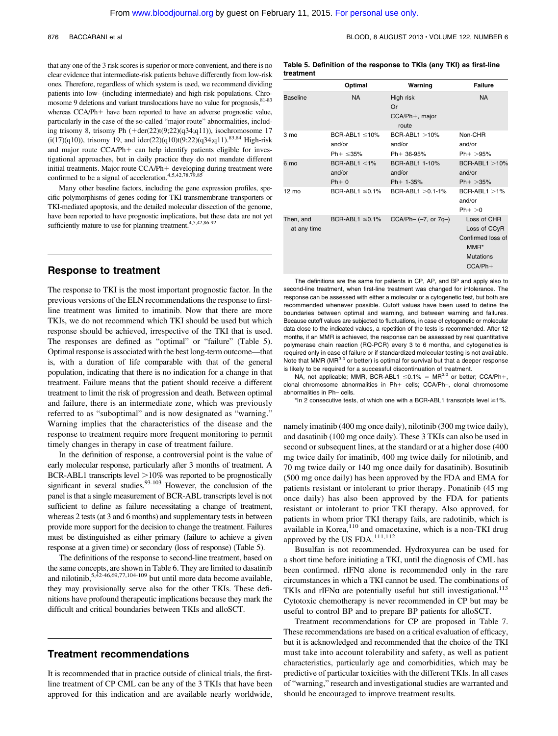that any one of the 3 risk scores is superior or more convenient, and there is no clear evidence that intermediate-risk patients behave differently from low-risk ones. Therefore, regardless of which system is used, we recommend dividing patients into low- (including intermediate) and high-risk populations. Chromosome 9 deletions and variant translocations have no value for prognosis, <sup>81-83</sup> whereas CCA/Ph+ have been reported to have an adverse prognostic value, particularly in the case of the so-called "major route" abnormalities, including trisomy 8, trisomy Ph  $(+der(22)t(9;22)(q34;q11))$ , isochromosome 17 (i(17)(q10)), trisomy 19, and ider(22)(q10)t(9;22)(q34;q11).<sup>83,84</sup> High-risk and major route  $CCA/Ph$ + can help identify patients eligible for investigational approaches, but in daily practice they do not mandate different initial treatments. Major route  $CCA/Ph+$  developing during treatment were confirmed to be a signal of acceleration.<sup>4,5,42,78,79,85</sup>

Many other baseline factors, including the gene expression profiles, specific polymorphisms of genes coding for TKI transmembrane transporters or TKI-mediated apoptosis, and the detailed molecular dissection of the genome, have been reported to have prognostic implications, but these data are not yet sufficiently mature to use for planning treatment.<sup>4,5,42,86-92</sup>

## Response to treatment

The response to TKI is the most important prognostic factor. In the previous versions of the ELN recommendations the response to firstline treatment was limited to imatinib. Now that there are more TKIs, we do not recommend which TKI should be used but which response should be achieved, irrespective of the TKI that is used. The responses are defined as "optimal" or "failure" (Table 5). Optimal response is associated with the best long-term outcome—that is, with a duration of life comparable with that of the general population, indicating that there is no indication for a change in that treatment. Failure means that the patient should receive a different treatment to limit the risk of progression and death. Between optimal and failure, there is an intermediate zone, which was previously referred to as "suboptimal" and is now designated as "warning." Warning implies that the characteristics of the disease and the response to treatment require more frequent monitoring to permit timely changes in therapy in case of treatment failure.

In the definition of response, a controversial point is the value of early molecular response, particularly after 3 months of treatment. A BCR-ABL1 transcripts level  $>10\%$  was reported to be prognostically significant in several studies. $93-103$  However, the conclusion of the panel is that a single measurement of BCR-ABL transcripts level is not sufficient to define as failure necessitating a change of treatment, whereas 2 tests (at 3 and 6 months) and supplementary tests in between provide more support for the decision to change the treatment. Failures must be distinguished as either primary (failure to achieve a given response at a given time) or secondary (loss of response) (Table 5).

The definitions of the response to second-line treatment, based on the same concepts, are shown in Table 6. They are limited to dasatinib and nilotinib,  $5,42-46,69,77,104-109$  but until more data become available, they may provisionally serve also for the other TKIs. These definitions have profound therapeutic implications because they mark the difficult and critical boundaries between TKIs and alloSCT.

## Treatment recommendations

It is recommended that in practice outside of clinical trials, the firstline treatment of CP CML can be any of the 3 TKIs that have been approved for this indication and are available nearly worldwide,

|           | Table 5. Definition of the response to TKIs (any TKI) as first-line |  |  |  |
|-----------|---------------------------------------------------------------------|--|--|--|
| treatment |                                                                     |  |  |  |

|                          | Optimal                                           | Warning                                       | <b>Failure</b>                                                                               |
|--------------------------|---------------------------------------------------|-----------------------------------------------|----------------------------------------------------------------------------------------------|
| <b>Baseline</b>          | <b>NA</b>                                         | High risk<br>Or<br>$CCA/Ph+$ , major<br>route | <b>NA</b>                                                                                    |
| $3 \text{ mo}$           | $BCR-ABL1 \leq 10\%$<br>and/or<br>$Ph+ \leq 35\%$ | $BCR-ABL1 > 10%$<br>and/or<br>$Ph+36-95%$     | Non-CHR<br>and/or<br>$Ph+ > 95%$                                                             |
| $6 \text{ mo}$           | $BCR-ABL1 < 1\%$<br>and/or<br>$Ph + 0$            | BCR-ABL1 1-10%<br>and/or<br>$Ph+ 1-35%$       | $BCR-ABL1 > 10%$<br>and/or<br>$Ph+ > 35\%$                                                   |
| $12 \text{ mo}$          | BCR-ABL1 $\leq$ 0.1%                              | $BCR-ABL1 > 0.1-1%$                           | $BCR-ABL1 > 1%$<br>and/or<br>$Ph+ > 0$                                                       |
| Then, and<br>at any time | BCR-ABL1 $\leq$ 0.1%                              | $CCA/Ph- (-7, or 7q-)$                        | Loss of CHR<br>Loss of CCyR<br>Confirmed loss of<br>$MMR^*$<br><b>Mutations</b><br>$CCA/Ph+$ |

The definitions are the same for patients in CP, AP, and BP and apply also to second-line treatment, when first-line treatment was changed for intolerance. The response can be assessed with either a molecular or a cytogenetic test, but both are recommended whenever possible. Cutoff values have been used to define the boundaries between optimal and warning, and between warning and failures. Because cutoff values are subjected to fluctuations, in case of cytogenetic or molecular data close to the indicated values, a repetition of the tests is recommended. After 12 months, if an MMR is achieved, the response can be assessed by real quantitative polymerase chain reaction (RQ-PCR) every 3 to 6 months, and cytogenetics is required only in case of failure or if standardized molecular testing is not available. Note that MMR (MR<sup>3.0</sup> or better) is optimal for survival but that a deeper response is likely to be required for a successful discontinuation of treatment.

NA, not applicable; MMR, BCR-ABL1  $\leq$ 0.1% = MR<sup>3.0</sup> or better; CCA/Ph+, clonal chromosome abnormalities in  $Ph+$  cells; CCA/Ph-, clonal chromosome abnormalities in Ph– cells.

\*In 2 consecutive tests, of which one with a BCR-ABL1 transcripts level  $\geq$ 1%.

namely imatinib (400 mg once daily), nilotinib (300 mg twice daily), and dasatinib (100 mg once daily). These 3 TKIs can also be used in second or subsequent lines, at the standard or at a higher dose (400 mg twice daily for imatinib, 400 mg twice daily for nilotinib, and 70 mg twice daily or 140 mg once daily for dasatinib). Bosutinib (500 mg once daily) has been approved by the FDA and EMA for patients resistant or intolerant to prior therapy. Ponatinib (45 mg once daily) has also been approved by the FDA for patients resistant or intolerant to prior TKI therapy. Also approved, for patients in whom prior TKI therapy fails, are radotinib, which is available in Korea, $110$  and omacetaxine, which is a non-TKI drug approved by the US FDA. $^{111,112}$ 

Busulfan is not recommended. Hydroxyurea can be used for a short time before initiating a TKI, until the diagnosis of CML has been confirmed. rIFNɑ alone is recommended only in the rare circumstances in which a TKI cannot be used. The combinations of TKIs and rIFN**q** are potentially useful but still investigational.<sup>113</sup> Cytotoxic chemotherapy is never recommended in CP but may be useful to control BP and to prepare BP patients for alloSCT.

Treatment recommendations for CP are proposed in Table 7. These recommendations are based on a critical evaluation of efficacy, but it is acknowledged and recommended that the choice of the TKI must take into account tolerability and safety, as well as patient characteristics, particularly age and comorbidities, which may be predictive of particular toxicities with the different TKIs. In all cases of "warning," research and investigational studies are warranted and should be encouraged to improve treatment results.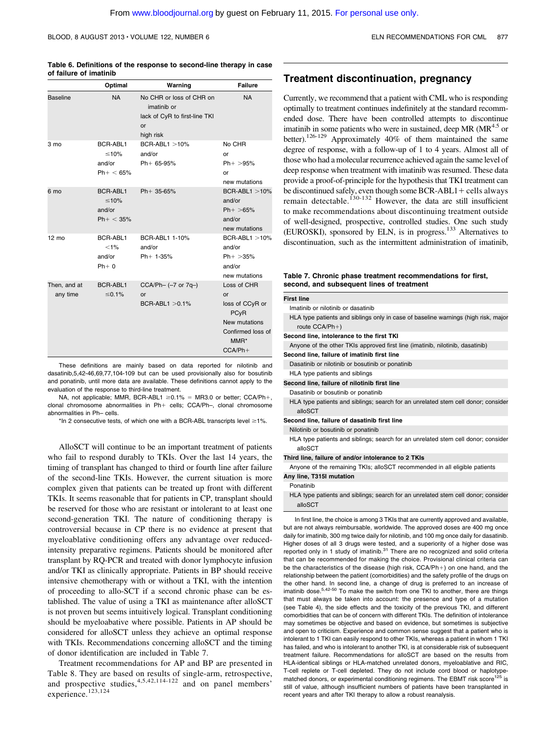## Table 6. Definitions of the response to second-line therapy in case of failure of imatinib

|                          | Optimal                                           | Warning                                                                                     | <b>Failure</b>                                                                                                   |
|--------------------------|---------------------------------------------------|---------------------------------------------------------------------------------------------|------------------------------------------------------------------------------------------------------------------|
| <b>Baseline</b>          | <b>NA</b>                                         | No CHR or loss of CHR on<br>imatinib or<br>lack of CyR to first-line TKI<br>or<br>high risk | <b>NA</b>                                                                                                        |
| $3 \text{ mo}$           | BCR-ABL1<br>$\leq 10\%$<br>and/or<br>$Ph+ < 65%$  | $BCR-ABL1 > 10%$<br>and/or<br>Ph+ 65-95%                                                    | No CHR<br>or<br>$Ph+ > 95%$<br>or<br>new mutations                                                               |
| 6 mo                     | BCR-ABL1<br>$\leq 10\%$<br>and/or<br>$Ph+ < 35\%$ | Ph+ 35-65%                                                                                  | $BCR-ABL1 > 10%$<br>and/or<br>$Ph+ > 65%$<br>and/or<br>new mutations                                             |
| $12 \text{ mo}$          | BCR-ABL1<br>$< 1\%$<br>and/or<br>$Ph + 0$         | BCR-ABL1 1-10%<br>and/or<br>$Ph+ 1-35%$                                                     | $BCR-ABL1 > 10%$<br>and/or<br>$Ph+ > 35%$<br>and/or<br>new mutations                                             |
| Then, and at<br>any time | BCR-ABL1<br>≤0.1%                                 | $CCA/Ph- (-7 or 7q-)$<br>or<br>BCR-ABL1 $>0.1\%$                                            | Loss of CHR<br>or<br>loss of CCyR or<br><b>PCyR</b><br>New mutations<br>Confirmed loss of<br>$MMR*$<br>$CCA/Ph+$ |

These definitions are mainly based on data reported for nilotinib and dasatinib,5,42-46,69,77,104-109 but can be used provisionally also for bosutinib and ponatinib, until more data are available. These definitions cannot apply to the evaluation of the response to third-line treatment.

NA, not applicable; MMR, BCR-ABL1  $\geq$ 0.1% = MR3.0 or better; CCA/Ph+, clonal chromosome abnormalities in  $Ph+$  cells: CCA/Ph–, clonal chromosome abnormalities in Ph– cells.

\*In 2 consecutive tests, of which one with a BCR-ABL transcripts level  $\geq$ 1%.

AlloSCT will continue to be an important treatment of patients who fail to respond durably to TKIs. Over the last 14 years, the timing of transplant has changed to third or fourth line after failure of the second-line TKIs. However, the current situation is more complex given that patients can be treated up front with different TKIs. It seems reasonable that for patients in CP, transplant should be reserved for those who are resistant or intolerant to at least one second-generation TKI. The nature of conditioning therapy is controversial because in CP there is no evidence at present that myeloablative conditioning offers any advantage over reducedintensity preparative regimens. Patients should be monitored after transplant by RQ-PCR and treated with donor lymphocyte infusion and/or TKI as clinically appropriate. Patients in BP should receive intensive chemotherapy with or without a TKI, with the intention of proceeding to allo-SCT if a second chronic phase can be established. The value of using a TKI as maintenance after alloSCT is not proven but seems intuitively logical. Transplant conditioning should be myeloabative where possible. Patients in AP should be considered for alloSCT unless they achieve an optimal response with TKIs. Recommendations concerning alloSCT and the timing of donor identification are included in Table 7.

Treatment recommendations for AP and BP are presented in Table 8. They are based on results of single-arm, retrospective, and prospective studies,  $4,5,42,114-122$  and on panel members' experience.123,124

## Treatment discontinuation, pregnancy

Currently, we recommend that a patient with CML who is responding optimally to treatment continues indefinitely at the standard recommended dose. There have been controlled attempts to discontinue imatinib in some patients who were in sustained, deep MR  $(MR<sup>4.5</sup>$  or better).<sup>126-129</sup> Approximately 40% of them maintained the same degree of response, with a follow-up of 1 to 4 years. Almost all of those who had a molecular recurrence achieved again the same level of deep response when treatment with imatinib was resumed. These data provide a proof-of-principle for the hypothesis that TKI treatment can be discontinued safely, even though some BCR-ABL1 + cells always remain detectable.<sup>130-132</sup> However, the data are still insufficient to make recommendations about discontinuing treatment outside of well-designed, prospective, controlled studies. One such study (EUROSKI), sponsored by ELN, is in progress.133 Alternatives to discontinuation, such as the intermittent administration of imatinib,

#### Table 7. Chronic phase treatment recommendations for first, second, and subsequent lines of treatment

| <b>First line</b>                                                                                                                                                                                                                                                    |
|----------------------------------------------------------------------------------------------------------------------------------------------------------------------------------------------------------------------------------------------------------------------|
| Imatinib or nilotinib or dasatinib                                                                                                                                                                                                                                   |
| HLA type patients and siblings only in case of baseline warnings (high risk, major<br>route $CCA/Ph+$ )                                                                                                                                                              |
| Second line, intolerance to the first TKI                                                                                                                                                                                                                            |
| Anyone of the other TKIs approved first line (imatinib, nilotinib, dasatinib)                                                                                                                                                                                        |
| Second line, failure of imatinib first line                                                                                                                                                                                                                          |
| Dasatinib or nilotinib or bosutinib or ponatinib                                                                                                                                                                                                                     |
| HLA type patients and siblings                                                                                                                                                                                                                                       |
| Second line, failure of nilotinib first line                                                                                                                                                                                                                         |
| Dasatinib or bosutinib or ponatinib                                                                                                                                                                                                                                  |
| HLA type patients and siblings; search for an unrelated stem cell donor; consider<br>alloSCT                                                                                                                                                                         |
| Second line, failure of dasatinib first line                                                                                                                                                                                                                         |
| Nilotinib or bosutinib or ponatinib                                                                                                                                                                                                                                  |
| HLA type patients and siblings; search for an unrelated stem cell donor; consider<br>alloSCT                                                                                                                                                                         |
| Third line, failure of and/or intolerance to 2 TKIs                                                                                                                                                                                                                  |
| Anyone of the remaining TKIs; alloSCT recommended in all eligible patients                                                                                                                                                                                           |
| Any line, T315I mutation                                                                                                                                                                                                                                             |
| Ponatinib                                                                                                                                                                                                                                                            |
| HLA type patients and siblings; search for an unrelated stem cell donor; consider<br>alloSCT                                                                                                                                                                         |
| In first line, the choice is among 3 TKIs that are currently approved and available,<br>but are not always reimbursable, worldwide. The approved doses are 400 mg once<br>daily for imatinib, 300 mg twice daily for nilotinib, and 100 mg once daily for dasatinib. |

Higher doses of all 3 drugs were tested, and a superiority of a higher dose was reported only in 1 study of imatinib.<sup>31</sup> There are no recognized and solid criteria that can be recommended for making the choice. Provisional clinical criteria can be the characteristics of the disease (high risk,  $CCA/Ph+$ ) on one hand, and the relationship between the patient (comorbidities) and the safety profile of the drugs on the other hand. In second line, a change of drug is preferred to an increase of imatinib dose.<sup>5,42-50</sup> To make the switch from one TKI to another, there are things that must always be taken into account: the presence and type of a mutation (see Table 4), the side effects and the toxicity of the previous TKI, and different comorbidities that can be of concern with different TKIs. The definition of intolerance may sometimes be objective and based on evidence, but sometimes is subjective and open to criticism. Experience and common sense suggest that a patient who is intolerant to 1 TKI can easily respond to other TKIs, whereas a patient in whom 1 TKI has failed, and who is intolerant to another TKI, is at considerable risk of subsequent treatment failure. Recommendations for alloSCT are based on the results from HLA-identical siblings or HLA-matched unrelated donors, myeloablative and RIC, T-cell replete or T-cell depleted. They do not include cord blood or haplotypematched donors, or experimental conditioning regimens. The EBMT risk score<sup>125</sup> is still of value, although insufficient numbers of patients have been transplanted in recent years and after TKI therapy to allow a robust reanalysis.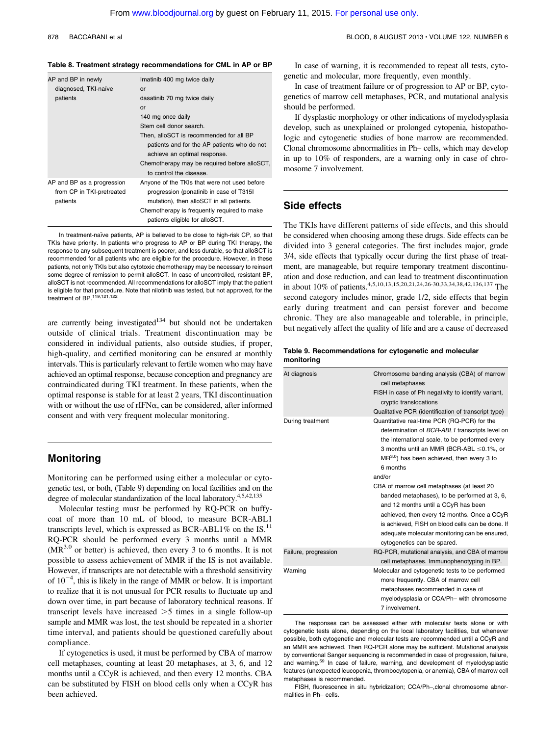|  |  | Table 8. Treatment strategy recommendations for CML in AP or BP |  |  |
|--|--|-----------------------------------------------------------------|--|--|
|--|--|-----------------------------------------------------------------|--|--|

| AP and BP in newly                                      | Imatinib 400 mg twice daily                                                              |
|---------------------------------------------------------|------------------------------------------------------------------------------------------|
| diagnosed, TKI-naïve                                    | or                                                                                       |
| patients                                                | dasatinib 70 mg twice daily                                                              |
|                                                         | or                                                                                       |
|                                                         | 140 mg once daily                                                                        |
|                                                         | Stem cell donor search.                                                                  |
|                                                         | Then, alloSCT is recommended for all BP                                                  |
|                                                         | patients and for the AP patients who do not                                              |
|                                                         | achieve an optimal response.                                                             |
|                                                         | Chemotherapy may be required before alloSCT,                                             |
|                                                         | to control the disease.                                                                  |
| AP and BP as a progression<br>from CP in TKI-pretreated | Anyone of the TKIs that were not used before<br>progression (ponatinib in case of T315I) |
| patients                                                | mutation), then alloSCT in all patients.                                                 |
|                                                         | Chemotherapy is frequently required to make                                              |
|                                                         | patients eligible for alloSCT.                                                           |

In treatment-naïve patients, AP is believed to be close to high-risk CP, so that TKIs have priority. In patients who progress to AP or BP during TKI therapy, the response to any subsequent treatment is poorer, and less durable, so that alloSCT is recommended for all patients who are eligible for the procedure. However, in these patients, not only TKIs but also cytotoxic chemotherapy may be necessary to reinsert some degree of remission to permit alloSCT. In case of uncontrolled, resistant BP, alloSCT is not recommended. All recommendations for alloSCT imply that the patient is eligible for that procedure. Note that nilotinib was tested, but not approved, for the treatment of BP.119,121,122

are currently being investigated $134$  but should not be undertaken outside of clinical trials. Treatment discontinuation may be considered in individual patients, also outside studies, if proper, high-quality, and certified monitoring can be ensured at monthly intervals. This is particularly relevant to fertile women who may have achieved an optimal response, because conception and pregnancy are contraindicated during TKI treatment. In these patients, when the optimal response is stable for at least 2 years, TKI discontinuation with or without the use of rIFN $\alpha$ , can be considered, after informed consent and with very frequent molecular monitoring.

## **Monitoring**

Monitoring can be performed using either a molecular or cytogenetic test, or both, (Table 9) depending on local facilities and on the degree of molecular standardization of the local laboratory.<sup>4,5,42,135</sup>

Molecular testing must be performed by RQ-PCR on buffycoat of more than 10 mL of blood, to measure BCR-ABL1 transcripts level, which is expressed as BCR-ABL1% on the IS. $^{11}$ RQ-PCR should be performed every 3 months until a MMR  $(MR<sup>3.0</sup>$  or better) is achieved, then every 3 to 6 months. It is not possible to assess achievement of MMR if the IS is not available. However, if transcripts are not detectable with a threshold sensitivity of  $10^{-4}$ , this is likely in the range of MMR or below. It is important to realize that it is not unusual for PCR results to fluctuate up and down over time, in part because of laboratory technical reasons. If transcript levels have increased  $>5$  times in a single follow-up sample and MMR was lost, the test should be repeated in a shorter time interval, and patients should be questioned carefully about compliance.

If cytogenetics is used, it must be performed by CBA of marrow cell metaphases, counting at least 20 metaphases, at 3, 6, and 12 months until a CCyR is achieved, and then every 12 months. CBA can be substituted by FISH on blood cells only when a CCyR has been achieved.

In case of warning, it is recommended to repeat all tests, cytogenetic and molecular, more frequently, even monthly.

In case of treatment failure or of progression to AP or BP, cytogenetics of marrow cell metaphases, PCR, and mutational analysis should be performed.

If dysplastic morphology or other indications of myelodysplasia develop, such as unexplained or prolonged cytopenia, histopathologic and cytogenetic studies of bone marrow are recommended. Clonal chromosome abnormalities in Ph– cells, which may develop in up to 10% of responders, are a warning only in case of chromosome 7 involvement.

## Side effects

The TKIs have different patterns of side effects, and this should be considered when choosing among these drugs. Side effects can be divided into 3 general categories. The first includes major, grade 3/4, side effects that typically occur during the first phase of treatment, are manageable, but require temporary treatment discontinuation and dose reduction, and can lead to treatment discontinuation in about 10% of patients.4,5,10,13,15,20,21,24,26-30,33,34,38,42,136,137 The second category includes minor, grade 1/2, side effects that begin early during treatment and can persist forever and become chronic. They are also manageable and tolerable, in principle, but negatively affect the quality of life and are a cause of decreased

Table 9. Recommendations for cytogenetic and molecular monitoring

| At diagnosis         | Chromosome banding analysis (CBA) of marrow<br>cell metaphases<br>FISH in case of Ph negativity to identify variant,<br>cryptic translocations<br>Qualitative PCR (identification of transcript type)                                                                                                                                                                                                                                                                                                                                                                                               |
|----------------------|-----------------------------------------------------------------------------------------------------------------------------------------------------------------------------------------------------------------------------------------------------------------------------------------------------------------------------------------------------------------------------------------------------------------------------------------------------------------------------------------------------------------------------------------------------------------------------------------------------|
| During treatment     | Quantitative real-time PCR (RQ-PCR) for the<br>determination of BCR-ABL1 transcripts level on<br>the international scale, to be performed every<br>3 months until an MMR (BCR-ABL ≤0.1%, or<br>MR <sup>3.0</sup> ) has been achieved, then every 3 to<br>6 months<br>and/or<br>CBA of marrow cell metaphases (at least 20<br>banded metaphases), to be performed at 3, 6,<br>and 12 months until a CCyR has been<br>achieved, then every 12 months. Once a CCyR<br>is achieved, FISH on blood cells can be done. If<br>adequate molecular monitoring can be ensured,<br>cytogenetics can be spared. |
| Failure, progression | RQ-PCR, mutational analysis, and CBA of marrow<br>cell metaphases. Immunophenotyping in BP.                                                                                                                                                                                                                                                                                                                                                                                                                                                                                                         |
| Warning              | Molecular and cytogenetic tests to be performed<br>more frequently. CBA of marrow cell<br>metaphases recommended in case of<br>myelodysplasia or CCA/Ph- with chromosome<br>7 involvement.                                                                                                                                                                                                                                                                                                                                                                                                          |

The responses can be assessed either with molecular tests alone or with cytogenetic tests alone, depending on the local laboratory facilities, but whenever possible, both cytogenetic and molecular tests are recommended until a CCyR and an MMR are achieved. Then RQ-PCR alone may be sufficient. Mutational analysis by conventional Sanger sequencing is recommended in case of progression, failure, and warning.<sup>59</sup> In case of failure, warning, and development of myelodysplastic features (unexpected leucopenia, thrombocytopenia, or anemia), CBA of marrow cell metaphases is recommended.

FISH, fluorescence in situ hybridization: CCA/Ph–, clonal chromosome abnormalities in Ph– cells.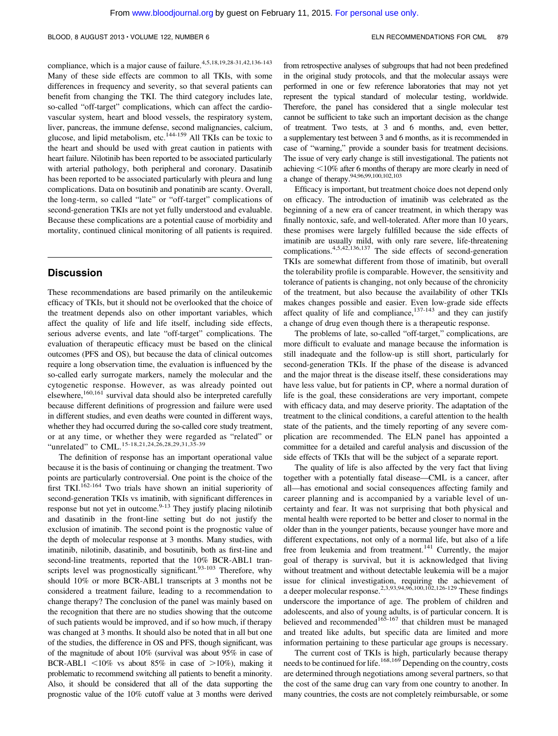compliance, which is a major cause of failure.<sup>4,5,18,19,28-31,42,136-143</sup> Many of these side effects are common to all TKIs, with some differences in frequency and severity, so that several patients can benefit from changing the TKI. The third category includes late, so-called "off-target" complications, which can affect the cardiovascular system, heart and blood vessels, the respiratory system, liver, pancreas, the immune defense, second malignancies, calcium, glucose, and lipid metabolism, etc.<sup>144-159</sup> All TKIs can be toxic to the heart and should be used with great caution in patients with heart failure. Nilotinib has been reported to be associated particularly with arterial pathology, both peripheral and coronary. Dasatinib has been reported to be associated particularly with pleura and lung complications. Data on bosutinib and ponatinib are scanty. Overall, the long-term, so called "late" or "off-target" complications of second-generation TKIs are not yet fully understood and evaluable. Because these complications are a potential cause of morbidity and mortality, continued clinical monitoring of all patients is required.

## **Discussion**

These recommendations are based primarily on the antileukemic efficacy of TKIs, but it should not be overlooked that the choice of the treatment depends also on other important variables, which affect the quality of life and life itself, including side effects, serious adverse events, and late "off-target" complications. The evaluation of therapeutic efficacy must be based on the clinical outcomes (PFS and OS), but because the data of clinical outcomes require a long observation time, the evaluation is influenced by the so-called early surrogate markers, namely the molecular and the cytogenetic response. However, as was already pointed out elsewhere, $160,161$  survival data should also be interpreted carefully because different definitions of progression and failure were used in different studies, and even deaths were counted in different ways, whether they had occurred during the so-called core study treatment, or at any time, or whether they were regarded as "related" or "unrelated" to CML.<sup>15-18,21,24,26,28,29,31,35-39</sup>

The definition of response has an important operational value because it is the basis of continuing or changing the treatment. Two points are particularly controversial. One point is the choice of the first TKI.<sup>162-164</sup> Two trials have shown an initial superiority of second-generation TKIs vs imatinib, with significant differences in response but not yet in outcome. $9-13$  They justify placing nilotinib and dasatinib in the front-line setting but do not justify the exclusion of imatinib. The second point is the prognostic value of the depth of molecular response at 3 months. Many studies, with imatinib, nilotinib, dasatinib, and bosutinib, both as first-line and second-line treatments, reported that the 10% BCR-ABL1 transcripts level was prognostically significant. $93-103$  Therefore, why should 10% or more BCR-ABL1 transcripts at 3 months not be considered a treatment failure, leading to a recommendation to change therapy? The conclusion of the panel was mainly based on the recognition that there are no studies showing that the outcome of such patients would be improved, and if so how much, if therapy was changed at 3 months. It should also be noted that in all but one of the studies, the difference in OS and PFS, though significant, was of the magnitude of about 10% (survival was about 95% in case of BCR-ABL1 <10% vs about 85% in case of  $>10\%$ ), making it problematic to recommend switching all patients to benefit a minority. Also, it should be considered that all of the data supporting the prognostic value of the 10% cutoff value at 3 months were derived

from retrospective analyses of subgroups that had not been predefined in the original study protocols, and that the molecular assays were performed in one or few reference laboratories that may not yet represent the typical standard of molecular testing, worldwide. Therefore, the panel has considered that a single molecular test cannot be sufficient to take such an important decision as the change of treatment. Two tests, at 3 and 6 months, and, even better, a supplementary test between 3 and 6 months, as it is recommended in case of "warning," provide a sounder basis for treatment decisions. The issue of very early change is still investigational. The patients not achieving <10% after 6 months of therapy are more clearly in need of a change of therapy.94,96,99,100,102,103

Efficacy is important, but treatment choice does not depend only on efficacy. The introduction of imatinib was celebrated as the beginning of a new era of cancer treatment, in which therapy was finally nontoxic, safe, and well-tolerated. After more than 10 years, these promises were largely fulfilled because the side effects of imatinib are usually mild, with only rare severe, life-threatening complications.4,5,42,136,137 The side effects of second-generation TKIs are somewhat different from those of imatinib, but overall the tolerability profile is comparable. However, the sensitivity and tolerance of patients is changing, not only because of the chronicity of the treatment, but also because the availability of other TKIs makes changes possible and easier. Even low-grade side effects affect quality of life and compliance, $137-143$  and they can justify a change of drug even though there is a therapeutic response.

The problems of late, so-called "off-target," complications, are more difficult to evaluate and manage because the information is still inadequate and the follow-up is still short, particularly for second-generation TKIs. If the phase of the disease is advanced and the major threat is the disease itself, these considerations may have less value, but for patients in CP, where a normal duration of life is the goal, these considerations are very important, compete with efficacy data, and may deserve priority. The adaptation of the treatment to the clinical conditions, a careful attention to the health state of the patients, and the timely reporting of any severe complication are recommended. The ELN panel has appointed a committee for a detailed and careful analysis and discussion of the side effects of TKIs that will be the subject of a separate report.

The quality of life is also affected by the very fact that living together with a potentially fatal disease—CML is a cancer, after all—has emotional and social consequences affecting family and career planning and is accompanied by a variable level of uncertainty and fear. It was not surprising that both physical and mental health were reported to be better and closer to normal in the older than in the younger patients, because younger have more and different expectations, not only of a normal life, but also of a life free from leukemia and from treatment.<sup>141</sup> Currently, the major goal of therapy is survival, but it is acknowledged that living without treatment and without detectable leukemia will be a major issue for clinical investigation, requiring the achievement of a deeper molecular response.<sup>2,3,93,94,96,100,102,126-129</sup> These findings underscore the importance of age. The problem of children and adolescents, and also of young adults, is of particular concern. It is believed and recommended<sup>165-167</sup> that children must be managed and treated like adults, but specific data are limited and more information pertaining to these particular age groups is necessary.

The current cost of TKIs is high, particularly because therapy needs to be continued for life.<sup>168,169</sup> Depending on the country, costs are determined through negotiations among several partners, so that the cost of the same drug can vary from one country to another. In many countries, the costs are not completely reimbursable, or some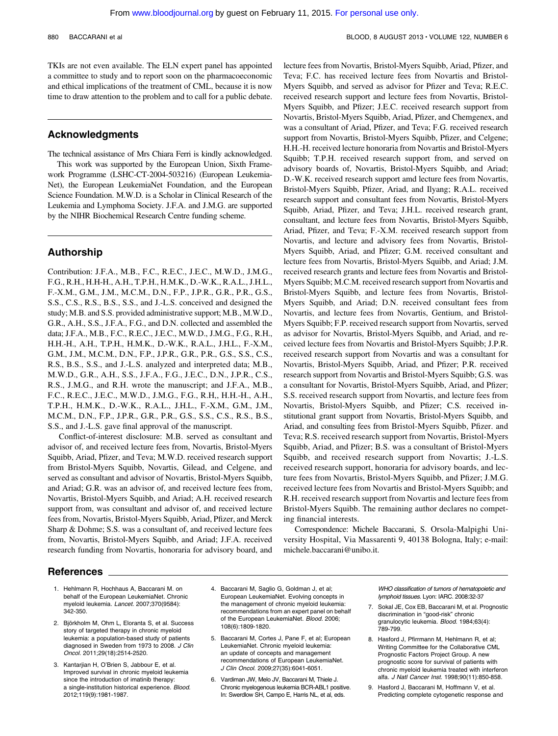TKIs are not even available. The ELN expert panel has appointed a committee to study and to report soon on the pharmacoeconomic and ethical implications of the treatment of CML, because it is now time to draw attention to the problem and to call for a public debate.

## Acknowledgments

The technical assistance of Mrs Chiara Ferri is kindly acknowledged. This work was supported by the European Union, Sixth Framework Programme (LSHC-CT-2004-503216) (European Leukemia-Net), the European LeukemiaNet Foundation, and the European Science Foundation. M.W.D. is a Scholar in Clinical Research of the Leukemia and Lymphoma Society. J.F.A. and J.M.G. are supported by the NIHR Biochemical Research Centre funding scheme.

## Authorship

Contribution: J.F.A., M.B., F.C., R.E.C., J.E.C., M.W.D., J.M.G., F.G., R.H., H.H-H., A.H., T.P.H., H.M.K., D.-W.K., R.A.L., J.H.L., F.-X.M., G.M., J.M., M.C.M., D.N., F.P., J.P.R., G.R., P.R., G.S., S.S., C.S., R.S., B.S., S.S., and J.-L.S. conceived and designed the study; M.B. and S.S. provided administrative support; M.B., M.W.D., G.R., A.H., S.S., J.F.A., F.G., and D.N. collected and assembled the data; J.F.A., M.B., F.C., R.E.C., J.E.C., M.W.D., J.M.G., F.G., R.H., H.H.-H., A.H., T.P.H., H.M.K., D.-W.K., R.A.L., J.H.L., F.-X.M., G.M., J.M., M.C.M., D.N., F.P., J.P.R., G.R., P.R., G.S., S.S., C.S., R.S., B.S., S.S., and J.-L.S. analyzed and interpreted data; M.B., M.W.D., G.R., A.H., S.S., J.F.A., F.G., J.E.C., D.N., J.P.R., C.S., R.S., J.M.G., and R.H. wrote the manuscript; and J.F.A., M.B., F.C., R.E.C., J.E.C., M.W.D., J.M.G., F.G., R.H,, H.H.-H., A.H., T.P.H., H.M.K., D.-W.K., R.A.L., J.H.L., F.-X.M., G.M., J.M., M.C.M., D.N., F.P., J.P.R., G.R., P.R., G.S., S.S., C.S., R.S., B.S., S.S., and J.-L.S. gave final approval of the manuscript.

Conflict-of-interest disclosure: M.B. served as consultant and advisor of, and received lecture fees from, Novartis, Bristol-Myers Squibb, Ariad, Pfizer, and Teva; M.W.D. received research support from Bristol-Myers Squibb, Novartis, Gilead, and Celgene, and served as consultant and advisor of Novartis, Bristol-Myers Squibb, and Ariad; G.R. was an advisor of, and received lecture fees from, Novartis, Bristol-Myers Squibb, and Ariad; A.H. received research support from, was consultant and advisor of, and received lecture fees from, Novartis, Bristol-Myers Squibb, Ariad, Pfizer, and Merck Sharp & Dohme; S.S. was a consultant of, and received lecture fees from, Novartis, Bristol-Myers Squibb, and Ariad; J.F.A. received research funding from Novartis, honoraria for advisory board, and lecture fees from Novartis, Bristol-Myers Squibb, Ariad, Pfizer, and Teva; F.C. has received lecture fees from Novartis and Bristol-Myers Squibb, and served as advisor for Pfizer and Teva; R.E.C. received research support and lecture fees from Novartis, Bristol-Myers Squibb, and Pfizer; J.E.C. received research support from Novartis, Bristol-Myers Squibb, Ariad, Pfizer, and Chemgenex, and was a consultant of Ariad, Pfizer, and Teva; F.G. received research support from Novartis, Bristol-Myers Squibb, Pfizer, and Celgene; H.H.-H. received lecture honoraria from Novartis and Bristol-Myers Squibb; T.P.H. received research support from, and served on advisory boards of, Novartis, Bristol-Myers Squibb, and Ariad; D.-W.K. received research support amd lecture fees from Novartis, Bristol-Myers Squibb, Pfizer, Ariad, and Ilyang; R.A.L. received research support and consultant fees from Novartis, Bristol-Myers Squibb, Ariad, Pfizer, and Teva; J.H.L. received research grant, consultant, and lecture fees from Novartis, Bristol-Myers Squibb, Ariad, Pfizer, and Teva; F.-X.M. received research support from Novartis, and lecture and advisory fees from Novartis, Bristol-Myers Squibb, Ariad, and Pfizer; G.M. received consultant and lecture fees from Novartis, Bristol-Myers Squibb, and Ariad; J.M. received research grants and lecture fees from Novartis and Bristol-Myers Squibb; M.C.M. received research support from Novartis and Bristol-Myers Squibb, and lecture fees from Novartis, Bristol-Myers Squibb, and Ariad; D.N. received consultant fees from Novartis, and lecture fees from Novartis, Gentium, and Bristol-Myers Squibb; F.P. received research support from Novartis, served as advisor for Novartis, Bristol-Myers Squibb, and Ariad, and received lecture fees from Novartis and Bristol-Myers Squibb; J.P.R. received research support from Novartis and was a consultant for Novartis, Bristol-Myers Squibb, Ariad, and Pfizer; P.R. received research support from Novartis and Bristol-Myers Squibb; G.S. was a consultant for Novartis, Bristol-Myers Squibb, Ariad, and Pfizer; S.S. received research support from Novartis, and lecture fees from Novartis, Bristol-Myers Squibb, and Pfizer; C.S. received institutional grant support from Novartis, Bristol-Myers Squibb, and Ariad, and consulting fees from Bristol-Myers Squibb, Pfizer. and Teva; R.S. received research support from Novartis, Bristol-Myers Squibb, Ariad, and Pfizer; B.S. was a consultant of Bristol-Myers Squibb, and received research support from Novartis; J.-L.S. received research support, honoraria for advisory boards, and lecture fees from Novartis, Bristol-Myers Squibb, and Pfizer; J.M.G. received lecture fees from Novartis and Bristol-Myers Squibb; and R.H. received research support from Novartis and lecture fees from Bristol-Myers Squibb. The remaining author declares no competing financial interests.

Correspondence: Michele Baccarani, S. Orsola-Malpighi University Hospital, Via Massarenti 9, 40138 Bologna, Italy; e-mail: [michele.baccarani@unibo.it.](mailto:michele.baccarani@unibo.it)

## References

- 1. Hehlmann R, Hochhaus A, Baccarani M. on behalf of the European LeukemiaNet. Chronic myeloid leukemia. Lancet. 2007;370(9584): 342-350.
- 2. Björkholm M, Ohm L, Eloranta S, et al. Success story of targeted therapy in chronic myeloid leukemia: a population-based study of patients diagnosed in Sweden from 1973 to 2008. J Clin Oncol. 2011;29(18):2514-2520.
- 3. Kantarjian H, O'Brien S, Jabbour E, et al. Improved survival in chronic myeloid leukemia since the introduction of imatinib therapy: a single-institution historical experience. Blood. 2012;119(9):1981-1987.
- 4. Baccarani M, Saglio G, Goldman J, et al; European LeukemiaNet. Evolving concepts in the management of chronic myeloid leukemia: recommendations from an expert panel on behalf of the European LeukemiaNet. Blood. 2006; 108(6):1809-1820.
- 5. Baccarani M, Cortes J, Pane F, et al; European LeukemiaNet. Chronic myeloid leukemia: an update of concepts and management recommendations of European LeukemiaNet. J Clin Oncol. 2009;27(35):6041-6051.
- 6. Vardiman JW, Melo JV, Baccarani M, Thiele J. Chronic myelogenous leukemia BCR-ABL1 positive. In: Swerdlow SH, Campo E, Harris NL, et al, eds.

WHO classification of tumors of hematopoietic and lymphoid tissues. Lyon: IARC. 2008:32-37

- 7. Sokal JE, Cox EB, Baccarani M, et al. Prognostic discrimination in "good-risk" chronic granulocytic leukemia. Blood. 1984;63(4): 789-799.
- 8. Hasford J, Pfirrmann M, Hehlmann R, et al; Writing Committee for the Collaborative CML Prognostic Factors Project Group. A new prognostic score for survival of patients with chronic myeloid leukemia treated with interferon alfa. J Natl Cancer Inst. 1998;90(11):850-858.
- 9. Hasford J, Baccarani M, Hoffmann V, et al. Predicting complete cytogenetic response and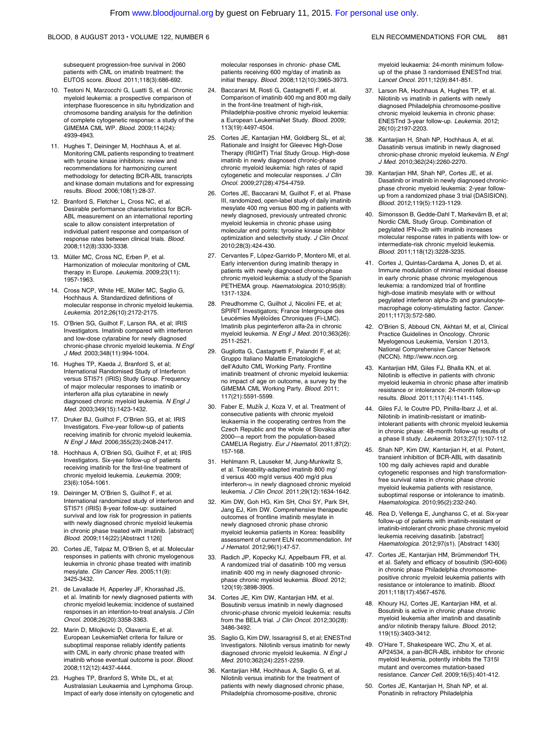## BLOOD, 8 AUGUST 2013 · VOLUME 122, NUMBER 6 **ELAL RECOMMENDATIONS FOR CML** 881

subsequent progression-free survival in 2060 patients with CML on imatinib treatment: the EUTOS score. Blood. 2011;118(3):686-692.

- 10. Testoni N, Marzocchi G, Luatti S, et al. Chronic myeloid leukemia: a prospective comparison of interphase fluorescence in situ hybridization and chromosome banding analysis for the definition of complete cytogenetic response: a study of the GIMEMA CML WP. Blood. 2009;114(24): 4939-4943.
- 11. Hughes T, Deininger M, Hochhaus A, et al. Monitoring CML patients responding to treatment with tyrosine kinase inhibitors: review and recommendations for harmonizing current methodology for detecting BCR-ABL transcripts and kinase domain mutations and for expressing results. Blood. 2006;108(1):28-37.
- 12. Branford S, Fletcher L, Cross NC, et al. Desirable performance characteristics for BCR-ABL measurement on an international reporting scale to allow consistent interpretation of individual patient response and comparison of response rates between clinical trials. Blood. 2008;112(8):3330-3338.
- 13. Müller MC, Cross NC, Erben P, et al. Harmonization of molecular monitoring of CML therapy in Europe. Leukemia. 2009;23(11): 1957-1963.
- 14. Cross NCP, White HE, Müller MC, Saglio G, Hochhaus A. Standardized definitions of molecular response in chronic myeloid leukemia. Leukemia. 2012;26(10):2172-2175.
- 15. O'Brien SG, Guilhot F, Larson RA, et al; IRIS Investigators. Imatinib compared with interferon and low-dose cytarabine for newly diagnosed chronic-phase chronic myeloid leukemia. N Engl J Med. 2003;348(11):994-1004.
- 16. Hughes TP, Kaeda J, Branford S, et al; International Randomised Study of Interferon versus STI571 (IRIS) Study Group. Frequency of major molecular responses to imatinib or interferon alfa plus cytarabine in newly diagnosed chronic myeloid leukemia. N Engl J Med. 2003;349(15):1423-1432.
- 17. Druker BJ, Guilhot F, O'Brien SG, et al; IRIS Investigators. Five-year follow-up of patients receiving imatinib for chronic myeloid leukemia. N Engl J Med. 2006;355(23):2408-2417.
- 18. Hochhaus A, O'Brien SG, Guilhot F, et al; IRIS Investigators. Six-year follow-up of patients receiving imatinib for the first-line treatment of chronic myeloid leukemia. Leukemia. 2009; 23(6):1054-1061.
- 19. Deininger M, O'Brien S, Guilhot F, et al. International randomized study of interferon and STI571 (IRIS) 8-year follow-up: sustained survival and low risk for progression in patients with newly diagnosed chronic myeloid leukemia in chronic phase treated with imatinib. [abstract] Blood. 2009;114(22):[Abstract 1126]
- 20. Cortes JE, Talpaz M, O'Brien S, et al. Molecular responses in patients with chronic myelogenous leukemia in chronic phase treated with imatinib mesylate. Clin Cancer Res. 2005;11(9): 3425-3432.
- 21. de Lavallade H, Apperley JF, Khorashad JS, et al. Imatinib for newly diagnosed patients with chronic myeloid leukemia: incidence of sustained responses in an intention-to-treat analysis. J Clin Oncol. 2008;26(20):3358-3363.
- 22. Marin D, Milojkovic D, Olavarria E, et al. European LeukemiaNet criteria for failure or suboptimal response reliably identify patients with CML in early chronic phase treated with imatinib whose eventual outcome is poor. Blood. 2008;112(12):4437-4444.
- 23. Hughes TP, Branford S, White DL, et al; Australasian Leukaemia and Lymphoma Group. Impact of early dose intensity on cytogenetic and

molecular responses in chronic- phase CML patients receiving 600 mg/day of imatinib as initial therapy. Blood. 2008;112(10):3965-3973.

- 24. Baccarani M, Rosti G, Castagnetti F, et al. Comparison of imatinib 400 mg and 800 mg daily in the front-line treatment of high-risk, Philadelphia-positive chronic myeloid leukemia: a European LeukemiaNet Study. Blood. 2009; 113(19):4497-4504.
- 25. Cortes JE, Kantarjian HM, Goldberg SL, et al; Rationale and Insight for Gleevec High-Dose Therapy (RIGHT) Trial Study Group. High-dose imatinib in newly diagnosed chronic-phase chronic myeloid leukemia: high rates of rapid cytogenetic and molecular responses. J Clin Oncol. 2009;27(28):4754-4759.
- 26. Cortes JE, Baccarani M, Guilhot F, et al. Phase III, randomized, open-label study of daily imatinib mesylate 400 mg versus 800 mg in patients with newly diagnosed, previously untreated chronic myeloid leukemia in chronic phase using molecular end points: tyrosine kinase inhibitor optimization and selectivity study. J Clin Oncol. 2010;28(3):424-430.
- 27. Cervantes F, López-Garrido P, Montero MI, et al. Early intervention during imatinib therapy in patients with newly diagnosed chronic-phase chronic myeloid leukemia: a study of the Spanish PETHEMA group. Haematologica. 2010;95(8): 1317-1324.
- 28. Preudhomme C, Guilhot J, Nicolini FE, et al; SPIRIT Investigators; France Intergroupe des Leucémies Myéloïdes Chroniques (Fi-LMC). Imatinib plus peginterferon alfa-2a in chronic myeloid leukemia. N Engl J Med. 2010;363(26): 2511-2521.
- 29. Gugliotta G, Castagnetti F, Palandri F, et al; Gruppo Italiano Malattie Ematologiche dell'Adulto CML Working Party. Frontline imatinib treatment of chronic myeloid leukemia: no impact of age on outcome, a survey by the GIMEMA CML Working Party. Blood. 2011; 117(21):5591-5599.
- 30. Faber E, Mužík J, Koza V, et al. Treatment of consecutive patients with chronic myeloid leukaemia in the cooperating centres from the Czech Republic and the whole of Slovakia after 2000—a report from the population-based CAMELIA Registry. Eur J Haematol. 2011;87(2): 157-168.
- 31. Hehlmann R, Lauseker M, Jung-Munkwitz S, et al. Tolerability-adapted imatinib 800 mg/ d versus 400 mg/d versus 400 mg/d plus interferon- $\alpha$  in newly diagnosed chronic myeloid leukemia. J Clin Oncol. 2011;29(12):1634-1642.
- 32. Kim DW, Goh HG, Kim SH, Choi SY, Park SH, Jang EJ, Kim DW. Comprehensive therapeutic outcomes of frontline imatinib mesylate in newly diagnosed chronic phase chronic myeloid leukemia patients in Korea: feasibility assessment of current ELN recommendation. Int J Hematol. 2012;96(1):47-57.
- 33. Radich JP, Kopecky KJ, Appelbaum FR, et al. A randomized trial of dasatinib 100 mg versus imatinib 400 mg in newly diagnosed chronicphase chronic myeloid leukemia. Blood. 2012; 120(19):3898-3905.
- 34. Cortes JE, Kim DW, Kantarjian HM, et al. Bosutinib versus imatinib in newly diagnosed chronic-phase chronic myeloid leukemia: results from the BELA trial. J Clin Oncol. 2012;30(28): 3486-3492.
- 35. Saglio G, Kim DW, Issaragrisil S, et al; ENESTnd Investigators. Nilotinib versus imatinib for newly diagnosed chronic myeloid leukemia. N Engl J Med. 2010;362(24):2251-2259.
- 36. Kantarjian HM, Hochhaus A, Saglio G, et al. Nilotinib versus imatinib for the treatment of patients with newly diagnosed chronic phase, Philadelphia chromosome-positive, chronic

myeloid leukaemia: 24-month minimum followup of the phase 3 randomised ENESTnd trial. Lancet Oncol. 2011;12(9):841-851.

- 37. Larson RA, Hochhaus A, Hughes TP, et al. Nilotinib vs imatinib in patients with newly diagnosed Philadelphia chromosome-positive chronic myeloid leukemia in chronic phase: ENESTnd 3-year follow-up. Leukemia. 2012; 26(10):2197-2203.
- 38. Kantarjian H, Shah NP, Hochhaus A, et al. Dasatinib versus imatinib in newly diagnosed chronic-phase chronic myeloid leukemia. N Engl J Med. 2010;362(24):2260-2270.
- 39. Kantarjian HM, Shah NP, Cortes JE, et al. Dasatinib or imatinib in newly diagnosed chronicphase chronic myeloid leukemia: 2-year followup from a randomized phase 3 trial (DASISION). Blood. 2012;119(5):1123-1129.
- 40. Simonsson B, Gedde-Dahl T, Markevärn B, et al: Nordic CML Study Group. Combination of pegylated IFN- $\alpha$ 2b with imatinib increases molecular response rates in patients with low- or intermediate-risk chronic myeloid leukemia. Blood. 2011;118(12):3228-3235.
- 41. Cortes J, Quintas-Cardama A, Jones D, et al. Immune modulation of minimal residual disease in early chronic phase chronic myelogenous leukemia: a randomized trial of frontline high-dose imatinib mesylate with or without pegylated interferon alpha-2b and granulocytemacrophage colony-stimulating factor. Cancer. 2011;117(3):572-580.
- 42. O'Brien S, Abboud CN, Akhtari M, et al, Clinical Practice Guidelines in Oncology. Chronic Myelogenous Leukemia, Version 1.2013, National Comprehensive Cancer Network (NCCN). [http://www.nccn.org](http://www.nccn.org/).
- 43. Kantarjian HM, Giles FJ, Bhalla KN, et al. Nilotinib is effective in patients with chronic myeloid leukemia in chronic phase after imatinib resistance or intolerance: 24-month follow-up results. Blood. 2011;117(4):1141-1145.
- 44. Giles FJ, le Coutre PD, Pinilla-Ibarz J, et al. Nilotinib in imatinib-resistant or imatinibintolerant patients with chronic myeloid leukemia in chronic phase: 48-month follow-up results of a phase II study. Leukemia. 2013;27(1):107-112.
- 45. Shah NP, Kim DW, Kantarjian H, et al. Potent, transient inhibition of BCR-ABL with dasatinib 100 mg daily achieves rapid and durable cytogenetic responses and high transformationfree survival rates in chronic phase chronic myeloid leukemia patients with resistance, suboptimal response or intolerance to imatinib. Haematologica. 2010;95(2):232-240.
- 46. Rea D, Vellenga E, Junghanss C, et al. Six-year follow-up of patients with imatinib-resistant or imatinib-intolerant chronic phase chronic myeloid leukemia receiving dasatinib. [abstract] Haematologica. 2012;97(s1). [Abstract 1430]
- 47. Cortes JE, Kantarjian HM, Brümmendorf TH, et al. Safety and efficacy of bosutinib (SKI-606) in chronic phase Philadelphia chromosomepositive chronic myeloid leukemia patients with resistance or intolerance to imatinib. Blood. 2011;118(17):4567-4576.
- 48. Khoury HJ, Cortes JE, Kantarjian HM, et al. Bosutinib is active in chronic phase chronic myeloid leukemia after imatinib and dasatinib and/or nilotinib therapy failure. Blood. 2012; 119(15):3403-3412.
- 49. O'Hare T, Shakespeare WC, Zhu X, et al. AP24534, a pan-BCR-ABL inhibitor for chronic myeloid leukemia, potently inhibits the T315I mutant and overcomes mutation-based resistance. Cancer Cell. 2009;16(5):401-412.
- 50. Cortes JE, Kantarjian H, Shah NP, et al. Ponatinib in refractory Philadelphia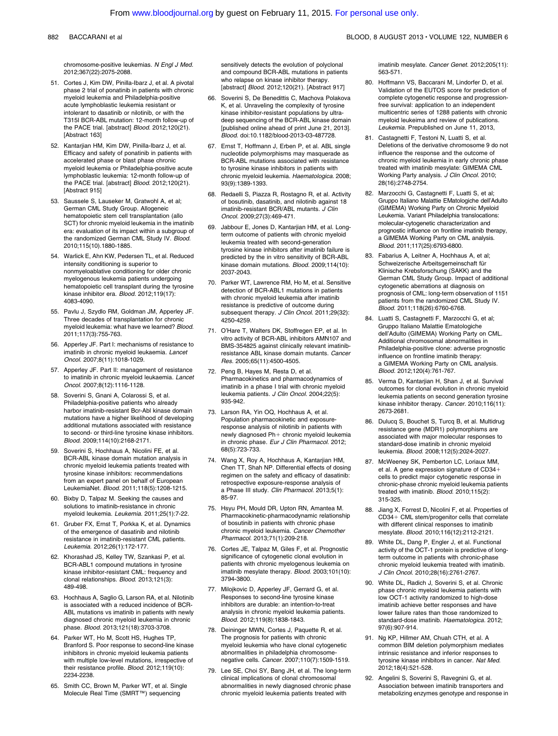chromosome-positive leukemias. N Engl J Med. 2012;367(22):2075-2088.

- 51. Cortes J, Kim DW, Pinilla-Ibarz J, et al. A pivotal phase 2 trial of ponatinib in patients with chronic myeloid leukemia and Philadelphia-positive acute lymphoblastic leukemia resistant or intolerant to dasatinib or nilotinib, or with the T315I BCR-ABL mutation: 12-month follow-up of the PACE trial. [abstract] Blood. 2012;120(21). [Abstract 163]
- 52. Kantarjian HM, Kim DW, Pinilla-Ibarz J, et al. Efficacy and safety of ponatinib in patients with accelerated phase or blast phase chronic myeloid leukemia or Philadelphia-positive acute lymphoblastic leukemia: 12-month follow-up of the PACE trial. [abstract] Blood. 2012;120(21). [Abstract 915]
- 53. Saussele S, Lauseker M, Gratwohl A, et al; German CML Study Group. Allogeneic hematopoietic stem cell transplantation (allo SCT) for chronic myeloid leukemia in the imatinib era: evaluation of its impact within a subgroup of the randomized German CML Study IV. Blood. 2010;115(10).1880-1885.
- 54. Warlick E, Ahn KW, Pedersen TL, et al. Reduced intensity conditioning is superior to nonmyeloablative conditioning for older chronic myelogenous leukemia patients undergoing hematopoietic cell transplant during the tyrosine kinase inhibitor era. Blood. 2012;119(17): 4083-4090.
- 55. Pavlu J, Szydlo RM, Goldman JM, Apperley JF. Three decades of transplantation for chronic myeloid leukemia: what have we learned? Blood. 2011;117(3):755-763.
- 56. Apperley JF. Part I: mechanisms of resistance to imatinib in chronic myeloid leukaemia. Lancet Oncol. 2007;8(11):1018-1029.
- 57. Apperley JF. Part II: management of resistance to imatinib in chronic myeloid leukaemia. Lancet Oncol. 2007;8(12):1116-1128.
- 58. Soverini S, Gnani A, Colarossi S, et al. Philadelphia-positive patients who already harbor imatinib-resistant Bcr-Abl kinase domain mutations have a higher likelihood of developing additional mutations associated with resistance to second- or third-line tyrosine kinase inhibitors. Blood. 2009;114(10):2168-2171.
- Soverini S, Hochhaus A, Nicolini FE, et al. BCR-ABL kinase domain mutation analysis in chronic myeloid leukemia patients treated with tyrosine kinase inhibitors: recommendations from an expert panel on behalf of European LeukemiaNet. Blood. 2011;118(5):1208-1215.
- 60. Bixby D, Talpaz M. Seeking the causes and solutions to imatinib-resistance in chronic myeloid leukemia. Leukemia. 2011;25(1):7-22.
- 61. Gruber FX, Ernst T, Porkka K, et al. Dynamics of the emergence of dasatinib and nilotinib resistance in imatinib-resistant CML patients. Leukemia. 2012;26(1):172-177.
- 62. Khorashad JS, Kelley TW, Szankasi P, et al. BCR-ABL1 compound mutations in tyrosine kinase inhibitor-resistant CML: frequency and clonal relationships. Blood. 2013;121(3): 489-498.
- 63. Hochhaus A, Saglio G, Larson RA, et al. Nilotinib is associated with a reduced incidence of BCR-ABL mutations vs imatinib in patients with newly diagnosed chronic myeloid leukemia in chronic phase. Blood. 2013;121(18):3703-3708.
- 64. Parker WT, Ho M, Scott HS, Hughes TP, Branford S. Poor response to second-line kinase inhibitors in chronic myeloid leukemia patients with multiple low-level mutations, irrespective of their resistance profile. Blood. 2012;119(10): 2234-2238.
- 65. Smith CC, Brown M, Parker WT, et al. Single Molecule Real Time (SMRT™) sequencing

sensitively detects the evolution of polyclonal and compound BCR-ABL mutations in patients who relapse on kinase inhibitor therapy [abstract] Blood. 2012;120(21). [Abstract 917]

- Soverini S, De Benedittis C, Machova Polakova K, et al. Unraveling the complexity of tyrosine kinase inhibitor-resistant populations by ultradeep sequencing of the BCR-ABL kinase domain [published online ahead of print June 21, 2013]. Blood. doi:10.1182/blood-2013-03-487728.
- 67. Ernst T, Hoffmann J, Erben P, et al. ABL single nucleotide polymorphisms may masquerade as BCR-ABL mutations associated with resistance to tyrosine kinase inhibitors in patients with chronic myeloid leukemia. Haematologica. 2008; 93(9):1389-1393.
- 68. Redaelli S, Piazza R, Rostagno R, et al. Activity of bosutinib, dasatinib, and nilotinib against 18 imatinib-resistant BCR/ABL mutants. J Clin Oncol. 2009;27(3):469-471.
- 69. Jabbour E, Jones D, Kantarjian HM, et al. Longterm outcome of patients with chronic myeloid leukemia treated with second-generation tyrosine kinase inhibitors after imatinib failure is predicted by the in vitro sensitivity of BCR-ABL kinase domain mutations. Blood. 2009;114(10): 2037-2043.
- 70. Parker WT, Lawrence RM, Ho M, et al. Sensitive detection of BCR-ABL1 mutations in patients with chronic myeloid leukemia after imatinib resistance is predictive of outcome during subsequent therapy. J Clin Oncol. 2011;29(32): 4250-4259.
- 71. O'Hare T, Walters DK, Stoffregen EP, et al. In vitro activity of BCR-ABL inhibitors AMN107 and BMS-354825 against clinically relevant imatinibresistance ABL kinase domain mutants. Cancer Res. 2005;65(11):4500-4505.
- 72. Peng B, Hayes M, Resta D, et al. Pharmacokinetics and pharmacodynamics of imatinib in a phase I trial with chronic myeloid leukemia patients. J Clin Oncol. 2004;22(5): 935-942.
- 73. Larson RA, Yin OQ, Hochhaus A, et al. Population pharmacokinetic and exposureresponse analysis of nilotinib in patients with newly diagnosed  $Ph+$  chronic myeloid leukemia in chronic phase. Eur J Clin Pharmacol. 2012; 68(5):723-733.
- 74. Wang X, Roy A, Hochhaus A, Kantarjian HM, Chen TT, Shah NP. Differential effects of dosing regimen on the safety and efficacy of dasatinib: retrospective exposure-response analysis of a Phase III study. Clin Pharmacol. 2013;5(1): 85-97.
- 75. Hsyu PH, Mould DR, Upton RN, Amantea M. Pharmacokinetic-pharmacodynamic relationship of bosutinib in patients with chronic phase chronic myeloid leukemia. Cancer Chemother Pharmacol. 2013;71(1):209-218.
- 76. Cortes JE, Talpaz M, Giles F, et al. Prognostic significance of cytogenetic clonal evolution in patients with chronic myelogenous leukemia on imatinib mesylate therapy. Blood. 2003;101(10): 3794-3800.
- 77. Milojkovic D, Apperley JF, Gerrard G, et al. Responses to second-line tyrosine kinase inhibitors are durable: an intention-to-treat analysis in chronic myeloid leukemia patients. Blood. 2012;119(8):1838-1843.
- 78. Deininger MWN, Cortes J, Paquette R, et al. The prognosis for patients with chronic myeloid leukemia who have clonal cytogenetic abnormalities in philadelphia chromosomenegative cells. Cancer. 2007;110(7):1509-1519.
- 79. Lee SE, Choi SY, Bang JH, et al. The long-term clinical implications of clonal chromosomal abnormalities in newly diagnosed chronic phase chronic myeloid leukemia patients treated with

imatinib mesylate. Cancer Genet. 2012:205(11): 563-571.

- 80. Hoffmann VS, Baccarani M, Lindorfer D, et al. Validation of the EUTOS score for prediction of complete cytogenetic response and progressionfree survival: application to an independent multicentric series of 1288 patients with chronic myeloid leukeima and review of publications. Leukemia. Prepublished on June 11, 2013,
- 81. Castagnetti F, Testoni N, Luatti S, et al. Deletions of the derivative chromosome 9 do not influence the response and the outcome of chronic myeloid leukemia in early chronic phase treated with imatinib mesylate: GIMEMA CML Working Party analysis. J Clin Oncol. 2010; 28(16):2748-2754.
- 82. Marzocchi G, Castagnetti F, Luatti S, et al; Gruppo Italiano Malattie EMatologiche dell'Adulto (GIMEMA) Working Party on Chronic Myeloid Leukemia. Variant Philadelphia translocations: molecular-cytogenetic characterization and prognostic influence on frontline imatinib therapy, a GIMEMA Working Party on CML analysis. Blood. 2011;117(25):6793-6800.
- 83. Fabarius A, Leitner A, Hochhaus A, et al; Schweizerische Arbeitsgemeinschaft für Klinische Krebsforschung (SAKK) and the German CML Study Group. Impact of additional cytogenetic aberrations at diagnosis on prognosis of CML: long-term observation of 1151 patients from the randomized CML Study IV. Blood. 2011;118(26):6760-6768.
- 84. Luatti S, Castagnetti F, Marzocchi G, et al; Gruppo Italiano Malattie Ematologiche dell'Adulto (GIMEMA) Working Party on CML. Additional chromosomal abnormalities in Philadelphia-positive clone: adverse prognostic influence on frontline imatinib therapy: a GIMEMA Working Party on CML analysis. Blood. 2012;120(4):761-767.
- 85. Verma D, Kantarjian H, Shan J, et al. Survival outcomes for clonal evolution in chronic myeloid leukemia patients on second generation tyrosine kinase inhibitor therapy. Cancer. 2010;116(11): 2673-2681.
- 86. Dulucq S, Bouchet S, Turcq B, et al. Multidrug resistance gene (MDR1) polymorphisms are associated with major molecular responses to standard-dose imatinib in chronic myeloid leukemia. Blood. 2008;112(5):2024-2027.
- 87. McWeeney SK, Pemberton LC, Loriaux MM, et al. A gene expression signature of  $CD34+$ cells to predict major cytogenetic response in chronic-phase chronic myeloid leukemia patients treated with imatinib. Blood. 2010;115(2): 315-325.
- 88. Jiang X, Forrest D, Nicolini F, et al. Properties of CD34+ CML stem/progenitor cells that correlate with different clinical responses to imatinib mesylate. Blood. 2010;116(12):2112-2121.
- 89. White DL, Dang P, Engler J, et al. Functional activity of the OCT-1 protein is predictive of longterm outcome in patients with chronic-phase chronic myeloid leukemia treated with imatinib. J Clin Oncol. 2010;28(16):2761-2767.
- 90. White DL, Radich J, Soverini S, et al. Chronic phase chronic myeloid leukemia patients with low OCT-1 activity randomized to high-dose imatinib achieve better responses and have lower failure rates than those randomized to standard-dose imatinib. Haematologica. 2012; 97(6):907-914.
- 91. Ng KP, Hillmer AM, Chuah CTH, et al. A common BIM deletion polymorphism mediates intrinsic resistance and inferior responses to tyrosine kinase inhibitors in cancer. Nat Med. 2012;18(4):521-528.
- 92. Angelini S, Soverini S, Ravegnini G, et al. Association between imatinib transporters and metabolizing enzymes genotype and response in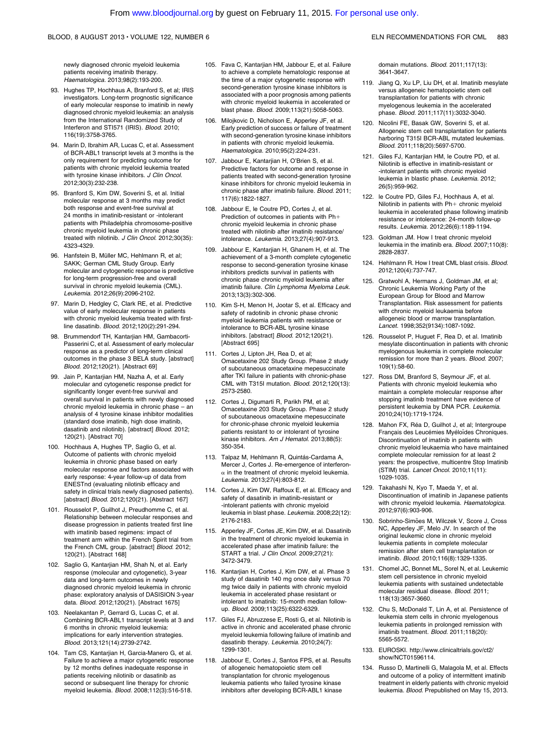#### BLOOD, 8 AUGUST 2013 · VOLUME 122, NUMBER 6 **ELL BUSHER 1999** ELN RECOMMENDATIONS FOR CML 883

newly diagnosed chronic myeloid leukemia patients receiving imatinib therapy. Haematologica. 2013;98(2):193-200.

- 93. Hughes TP, Hochhaus A, Branford S, et al; IRIS investigators. Long-term prognostic significance of early molecular response to imatinib in newly diagnosed chronic myeloid leukemia: an analysis from the International Randomized Study of Interferon and STI571 (IRIS). Blood. 2010; 116(19):3758-3765.
- 94. Marin D, Ibrahim AR, Lucas C, et al. Assessment of BCR-ABL1 transcript levels at 3 months is the only requirement for predicting outcome for patients with chronic myeloid leukemia treated with tyrosine kinase inhibitors. J Clin Oncol. 2012;30(3):232-238.
- 95. Branford S, Kim DW, Soverini S, et al. Initial molecular response at 3 months may predict both response and event-free survival at 24 months in imatinib-resistant or -intolerant patients with Philadelphia chromosome-positive chronic myeloid leukemia in chronic phase treated with nilotinib. J Clin Oncol. 2012;30(35): 4323-4329.
- 96. Hanfstein B. Müller MC, Hehlmann R, et al: SAKK; German CML Study Group. Early molecular and cytogenetic response is predictive for long-term progression-free and overall survival in chronic myeloid leukemia (CML). Leukemia. 2012;26(9):2096-2102.
- 97. Marin D, Hedgley C, Clark RE, et al. Predictive value of early molecular response in patients with chronic myeloid leukemia treated with firstline dasatinib. Blood. 2012;120(2):291-294.
- 98. Brummendorf TH, Kantarjian HM, Gambacorti-Passerini C, et al. Assessment of early molecular response as a predictor of long-term clinical outcomes in the phase 3 BELA study. [abstract] Blood. 2012;120(21). [Abstract 69]
- 99. Jain P, Kantarjian HM, Nazha A, et al. Early molecular and cytogenetic response predict for significantly longer event-free survival and overall survival in patients with newly diagnosed chronic myeloid leukemia in chronic phase – an analysis of 4 tyrosine kinase inhibitor modalities (standard dose imatinib, high dose imatinib, dasatinib and nilotinib). [abstract] Blood. 2012; 120(21). [Abstract 70]
- 100. Hochhaus A, Hughes TP, Saglio G, et al. Outcome of patients with chronic myeloid leukemia in chronic phase based on early molecular response and factors associated with early response: 4-year follow-up of data from ENESTnd (evaluating nilotinib efficacy and safety in clinical trials newly diagnosed patients). [abstract] Blood. 2012;120(21). [Abstract 167]
- 101. Rousselot P, Guilhot J, Preudhomme C, et al. Relationship between molecular responses and disease progression in patients treated first line with imatinib based regimens: impact of treatment arm within the French Spirit trial from the French CML group. [abstract] Blood. 2012; 120(21). [Abstract 168]
- 102. Saglio G, Kantarjian HM, Shah N, et al. Early response (molecular and cytogenetic), 3-year data and long-term outcomes in newly diagnosed chronic myeloid leukemia in chronic phase: exploratory analysis of DASISION 3-year data. Blood. 2012;120(21). [Abstract 1675]
- 103. Neelakantan P, Gerrard G, Lucas C, et al. Combining BCR-ABL1 transcript levels at 3 and 6 months in chronic myeloid leukemia: implications for early intervention strategies. Blood. 2013;121(14):2739-2742.
- 104. Tam CS, Kantarjian H, Garcia-Manero G, et al. Failure to achieve a major cytogenetic response by 12 months defines inadequate response in patients receiving nilotinib or dasatinib as second or subsequent line therapy for chronic myeloid leukemia. Blood. 2008;112(3):516-518.
- 105. Fava C, Kantarjian HM, Jabbour E, et al. Failure to achieve a complete hematologic response at the time of a major cytogenetic response with second-generation tyrosine kinase inhibitors is associated with a poor prognosis among patients with chronic myeloid leukemia in accelerated or blast phase. Blood. 2009;113(21):5058-5063.
- 106. Milojkovic D, Nicholson E, Apperley JF, et al. Early prediction of success or failure of treatment with second-generation tyrosine kinase inhibitors in patients with chronic myeloid leukemia. Haematologica. 2010;95(2):224-231.
- 107. Jabbour E, Kantarjian H, O'Brien S, et al. Predictive factors for outcome and response in patients treated with second-generation tyrosine kinase inhibitors for chronic myeloid leukemia in chronic phase after imatinib failure. Blood. 2011; 117(6):1822-1827.
- 108. Jabbour E, le Coutre PD, Cortes J, et al. Prediction of outcomes in patients with  $Ph+$ chronic myeloid leukemia in chronic phase treated with nilotinib after imatinib resistance/ intolerance. Leukemia. 2013;27(4):907-913.
- 109. Jabbour E, Kantarjian H, Ghanem H, et al. The achievement of a 3-month complete cytogenetic response to second-generation tyrosine kinase inhibitors predicts survival in patients with chronic phase chronic myeloid leukemia after imatinib failure. Clin Lymphoma Myeloma Leuk. 2013;13(3):302-306.
- 110. Kim S-H, Menon H, Jootar S, et al. Efficacy and safety of radotinib in chronic phase chronic myeloid leukemia patients with resistance or intolerance to BCR-ABL tyrosine kinase inhibitors. [abstract] Blood. 2012;120(21). [Abstract 695]
- 111. Cortes J, Lipton JH, Rea D, et al; Omacetaxine 202 Study Group. Phase 2 study of subcutaneous omacetaxine mepesuccinate after TKI failure in patients with chronic-phase CML with T315I mutation. Blood. 2012;120(13): 2573-2580.
- 112. Cortes J, Digumarti R, Parikh PM, et al; Omacetaxine 203 Study Group. Phase 2 study of subcutaneous omacetaxine mepesuccinate for chronic-phase chronic myeloid leukemia patients resistant to or intolerant of tyrosine kinase inhibitors. Am J Hematol. 2013;88(5): 350-354.
- 113. Talpaz M, Hehlmann R, Quintás-Cardama A, Mercer J, Cortes J. Re-emergence of interferon- $\alpha$  in the treatment of chronic myeloid leukemia. Leukemia. 2013;27(4):803-812.
- 114. Cortes J, Kim DW, Raffoux E, et al. Efficacy and safety of dasatinib in imatinib-resistant or -intolerant patients with chronic myeloid leukemia in blast phase. Leukemia. 2008;22(12): 2176-2183.
- 115. Apperley JF, Cortes JE, Kim DW, et al. Dasatinib in the treatment of chronic myeloid leukemia in accelerated phase after imatinib failure: the START a trial. J Clin Oncol. 2009;27(21): 3472-3479.
- 116. Kantarjian H, Cortes J, Kim DW, et al. Phase 3 study of dasatinib 140 mg once daily versus 70 mg twice daily in patients with chronic myeloid leukemia in accelerated phase resistant or intolerant to imatinib: 15-month median followup. Blood. 2009;113(25):6322-6329.
- 117. Giles FJ, Abruzzese E, Rosti G, et al. Nilotinib is active in chronic and accelerated phase chronic myeloid leukemia following failure of imatinib and dasatinib therapy. Leukemia. 2010;24(7): 1299-1301.
- 118. Jabbour E, Cortes J, Santos FPS, et al. Results of allogeneic hematopoietic stem cell transplantation for chronic myelogenous leukemia patients who failed tyrosine kinase inhibitors after developing BCR-ABL1 kinase

domain mutations. Blood. 2011;117(13): 3641-3647.

- 119. Jiang Q, Xu LP, Liu DH, et al. Imatinib mesylate versus allogeneic hematopoietic stem cell transplantation for patients with chronic myelogenous leukemia in the accelerated phase. Blood. 2011;117(11):3032-3040.
- 120. Nicolini FE, Basak GW, Soverini S, et al. Allogeneic stem cell transplantation for patients harboring T315I BCR-ABL mutated leukemias. Blood. 2011;118(20):5697-5700.
- 121. Giles FJ, Kantarjian HM, le Coutre PD, et al. Nilotinib is effective in imatinib-resistant or -intolerant patients with chronic myeloid leukemia in blastic phase. Leukemia. 2012; 26(5):959-962.
- 122. le Coutre PD, Giles FJ, Hochhaus A, et al. Nilotinib in patients with  $Ph+$  chronic myeloid leukemia in accelerated phase following imatinib resistance or intolerance: 24-month follow-up results. Leukemia. 2012;26(6):1189-1194.
- 123. Goldman JM. How I treat chronic myeloid leukemia in the imatinib era. Blood. 2007;110(8): 2828-2837.
- 124. Hehlmann R. How I treat CML blast crisis. Blood. 2012;120(4):737-747.
- 125. Gratwohl A, Hermans J, Goldman JM, et al; Chronic Leukemia Working Party of the European Group for Blood and Marrow Transplantation. Risk assessment for patients with chronic myeloid leukaemia before allogeneic blood or marrow transplantation. Lancet. 1998;352(9134):1087-1092.
- 126. Rousselot P, Huguet F, Rea D, et al. Imatinib mesylate discontinuation in patients with chronic myelogenous leukemia in complete molecular remission for more than 2 years. Blood. 2007; 109(1):58-60.
- 127. Ross DM, Branford S, Seymour JF, et al. Patients with chronic myeloid leukemia who maintain a complete molecular response after stopping imatinib treatment have evidence of persistent leukemia by DNA PCR. Leukemia. 2010;24(10):1719-1724.
- 128. Mahon FX, Réa D, Guilhot J, et al; Intergroupe Francais des Leucémies Myéloïdes Chroniques. Discontinuation of imatinib in patients with chronic myeloid leukaemia who have maintained complete molecular remission for at least 2 years: the prospective, multicentre Stop Imatinib (STIM) trial. Lancet Oncol. 2010;11(11): 1029-1035.
- 129. Takahashi N, Kyo T, Maeda Y, et al. Discontinuation of imatinib in Japanese patients with chronic myeloid leukemia. Haematologica. 2012;97(6):903-906.
- 130. Sobrinho-Simões M, Wilczek V, Score J, Cross NC, Apperley JF, Melo JV. In search of the original leukemic clone in chronic myeloid leukemia patients in complete molecular remission after stem cell transplantation or imatinib. Blood. 2010;116(8):1329-1335.
- 131. Chomel JC, Bonnet ML, Sorel N, et al. Leukemic stem cell persistence in chronic myeloid leukemia patients with sustained undetectable molecular residual disease. Blood. 2011; 118(13):3657-3660.
- 132. Chu S, McDonald T, Lin A, et al. Persistence of leukemia stem cells in chronic myelogenous leukemia patients in prolonged remission with imatinib treatment. Blood. 2011;118(20): 5565-5572.
- 133. EUROSKI. [http://www.clinicaltrials.gov/ct2/](http://www.clinicaltrials.gov/ct2/show/NCT01596114) [show/NCT01596114.](http://www.clinicaltrials.gov/ct2/show/NCT01596114)
- 134. Russo D, Martinelli G, Malagola M, et al. Effects and outcome of a policy of intermittent imatinib treatment in elderly patients with chronic myeloid leukemia. Blood. Prepublished on May 15, 2013.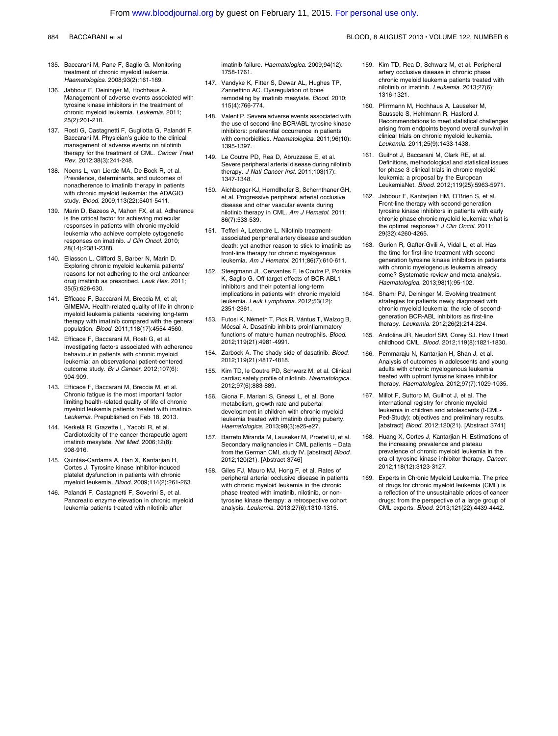#### 884 BACCARANI et al BLOOD, 8 AUGUST 2013 • VOLUME 122, NUMBER 6

- 135. Baccarani M, Pane F, Saglio G. Monitoring treatment of chronic myeloid leukemia. Haematologica. 2008;93(2):161-169.
- 136. Jabbour E, Deininger M, Hochhaus A. Management of adverse events associated with tyrosine kinase inhibitors in the treatment of chronic myeloid leukemia. Leukemia. 2011; 25(2):201-210.
- 137. Rosti G, Castagnetti F, Gugliotta G, Palandri F, Baccarani M. Physician's guide to the clinical management of adverse events on nilotinib therapy for the treatment of CML. Cancer Treat Rev. 2012;38(3):241-248.
- 138. Noens L, van Lierde MA, De Bock R, et al. Prevalence, determinants, and outcomes of nonadherence to imatinib therapy in patients with chronic myeloid leukemia: the ADAGIO study. Blood. 2009;113(22):5401-5411.
- 139. Marin D, Bazeos A, Mahon FX, et al. Adherence is the critical factor for achieving molecular responses in patients with chronic myeloid leukemia who achieve complete cytogenetic responses on imatinib. J Clin Oncol. 2010; 28(14):2381-2388.
- 140. Eliasson L, Clifford S, Barber N, Marin D. Exploring chronic myeloid leukemia patients' reasons for not adhering to the oral anticancer drug imatinib as prescribed. Leuk Res. 2011; 35(5):626-630.
- 141. Efficace F, Baccarani M, Breccia M, et al; GIMEMA. Health-related quality of life in chronic myeloid leukemia patients receiving long-term therapy with imatinib compared with the general population. Blood. 2011;118(17):4554-4560.
- 142. Efficace F, Baccarani M, Rosti G, et al. Investigating factors associated with adherence behaviour in patients with chronic myeloid leukemia: an observational patient-centered outcome study. Br J Cancer. 2012;107(6): 904-909.
- 143. Efficace F, Baccarani M, Breccia M, et al. Chronic fatigue is the most important factor limiting health-related quality of life of chronic myeloid leukemia patients treated with imatinib. Leukemia. Prepublished on Feb 18, 2013.
- 144. Kerkelä R, Grazette L, Yacobi R, et al. Cardiotoxicity of the cancer therapeutic agent imatinib mesylate. Nat Med. 2006;12(8): 908-916.
- 145. Quintás-Cardama A, Han X, Kantarjian H, Cortes J. Tyrosine kinase inhibitor-induced platelet dysfunction in patients with chronic myeloid leukemia. Blood. 2009;114(2):261-263.
- 146. Palandri F, Castagnetti F, Soverini S, et al. Pancreatic enzyme elevation in chronic myeloid leukemia patients treated with nilotinib after

imatinib failure. Haematologica. 2009:94(12): 1758-1761.

- 147. Vandyke K, Fitter S, Dewar AL, Hughes TP, Zannettino AC. Dysregulation of bone remodeling by imatinib mesylate. Blood. 2010; 115(4):766-774.
- 148. Valent P. Severe adverse events associated with the use of second-line BCR/ABL tyrosine kinase inhibitors: preferential occurrence in patients with comorbidities. Haematologica. 2011;96(10): 1395-1397.
- 149. Le Coutre PD, Rea D, Abruzzese E, et al. Severe peripheral arterial disease during nilotinib therapy. J Natl Cancer Inst. 2011;103(17): 1347-1348.
- 150. Aichberger KJ, Herndlhofer S, Schernthaner GH, et al. Progressive peripheral arterial occlusive disease and other vascular events during nilotinib therapy in CML. Am J Hematol. 2011; 86(7):533-539.
- 151. Tefferi A, Letendre L. Nilotinib treatmentassociated peripheral artery disease and sudden death: yet another reason to stick to imatinib as front-line therapy for chronic myelogenous leukemia. Am J Hematol. 2011;86(7):610-611.
- 152. Steegmann JL, Cervantes F, le Coutre P, Porkka K, Saglio G. Off-target effects of BCR-ABL1 inhibitors and their potential long-term implications in patients with chronic myeloid leukemia. Leuk Lymphoma. 2012;53(12): 2351-2361.
- 153. Futosi K, Németh T, Pick R, Vántus T, Walzog B, Mócsai A. Dasatinib inhibits proinflammatory functions of mature human neutrophils. Blood. 2012;119(21):4981-4991.
- 154. Zarbock A. The shady side of dasatinib. Blood. 2012;119(21):4817-4818.
- 155. Kim TD, le Coutre PD, Schwarz M, et al. Clinical cardiac safety profile of nilotinib. Haematologica. 2012;97(6):883-889.
- 156. Giona F, Mariani S, Gnessi L, et al. Bone metabolism, growth rate and pubertal development in children with chronic myeloid leukemia treated with imatinib during puberty. Haematologica. 2013;98(3):e25-e27.
- 157. Barreto Miranda M, Lauseker M, Proetel U, et al. Secondary malignancies in CML patients – Data from the German CML study IV. [abstract] Blood. 2012;120(21). [Abstract 3746]
- 158. Giles FJ, Mauro MJ, Hong F, et al. Rates of peripheral arterial occlusive disease in patients with chronic myeloid leukemia in the chronic phase treated with imatinib, nilotinib, or nontyrosine kinase therapy: a retrospective cohort analysis. Leukemia. 2013;27(6):1310-1315.
- 159. Kim TD, Rea D, Schwarz M, et al. Peripheral artery occlusive disease in chronic phase chronic myeloid leukemia patients treated with nilotinib or imatinib. Leukemia. 2013;27(6): 1316-1321.
- 160. Pfirrmann M, Hochhaus A, Lauseker M, Saussele S, Hehlmann R, Hasford J. Recommendations to meet statistical challenges arising from endpoints beyond overall survival in clinical trials on chronic myeloid leukemia. Leukemia. 2011;25(9):1433-1438.
- 161. Guilhot J, Baccarani M, Clark RE, et al. Definitions, methodological and statistical issues for phase 3 clinical trials in chronic myeloid leukemia: a proposal by the European LeukemiaNet. Blood. 2012;119(25):5963-5971.
- 162. Jabbour E, Kantarjian HM, O'Brien S, et al. Front-line therapy with second-generation tyrosine kinase inhibitors in patients with early chronic phase chronic myeloid leukemia: what is the optimal response? J Clin Oncol. 2011; 29(32):4260-4265.
- 163. Gurion R, Gafter-Gvili A, Vidal L, et al. Has the time for first-line treatment with second generation tyrosine kinase inhibitors in patients with chronic myelogenous leukemia already come? Systematic review and meta-analysis. Haematologica. 2013;98(1):95-102.
- 164. Shami PJ, Deininger M. Evolving treatment strategies for patients newly diagnosed with chronic myeloid leukemia: the role of secondgeneration BCR-ABL inhibitors as first-line therapy. Leukemia. 2012;26(2):214-224.
- 165. Andolina JR, Neudorf SM, Corey SJ. How I treat childhood CML. Blood. 2012;119(8):1821-1830.
- 166. Pemmaraju N, Kantarjian H, Shan J, et al. Analysis of outcomes in adolescents and young adults with chronic myelogenous leukemia treated with upfront tyrosine kinase inhibitor therapy. Haematologica. 2012;97(7):1029-1035.
- 167. Millot F, Suttorp M, Guilhot J, et al. The international registry for chronic myeloid leukemia in children and adolescents (I-CML-Ped-Study): objectives and preliminary results. [abstract] Blood. 2012;120(21). [Abstract 3741]
- 168. Huang X, Cortes J, Kantarjian H. Estimations of the increasing prevalence and plateau prevalence of chronic myeloid leukemia in the era of tyrosine kinase inhibitor therapy. Cancer. 2012;118(12):3123-3127.
- 169. Experts in Chronic Myeloid Leukemia. The price of drugs for chronic myeloid leukemia (CML) is a reflection of the unsustainable prices of cancer drugs: from the perspective of a large group of CML experts. Blood. 2013;121(22):4439-4442.